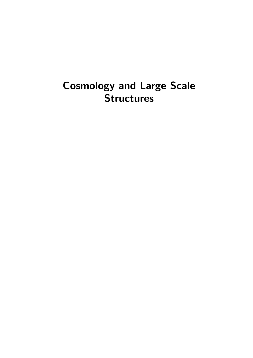# Cosmology and Large Scale **Structures**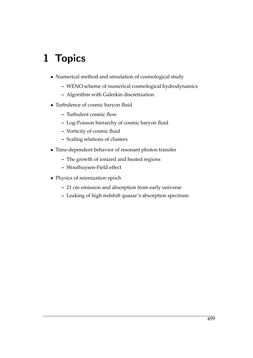# 1 Topics

- Numerical method and simulation of cosmological study
	- **–** WENO scheme of numerical cosmological hydrodynamics
	- **–** Algorithm with Galerkin discretization
- Turbulence of cosmic baryon fluid
	- **–** Turbulent cosmic flow
	- **–** Log-Poisson hierarchy of cosmic baryon fluid
	- **–** Vorticity of cosmic fluid
	- **–** Scaling relations of clusters
- Time-dependent behavior of resonant photon transfer
	- **–** The growth of ionized and heated regions
	- **–** Wouthuysen-Field effect
- Physics of reionization epoch
	- **–** 21 cm emission and absorption from early universe
	- **–** Leaking of high redshift quasar's absorption spectrum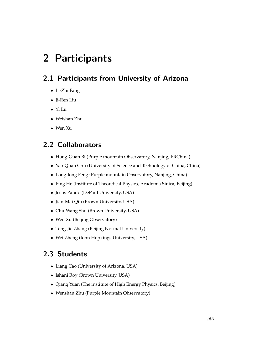# 2 Participants

## 2.1 Participants from University of Arizona

- Li-Zhi Fang
- Ji-Ren Liu
- Yi Lu
- Weishan Zhu
- Wen Xu

## 2.2 Collaborators

- Hong-Guan Bi (Purple mountain Observatory, Nanjing, PRChina)
- Yao-Quan Chu (University of Science and Technology of China, China)
- Long-long Feng (Purple mountain Observatory, Nanjing, China)
- Ping He (Institute of Theoretical Physics, Academia Sinica, Beijing)
- Jesus Pando (DePaul University, USA)
- Jian-Mai Qiu (Brown University, USA)
- Chu-Wang Shu (Brown University, USA)
- Wen Xu (Beijing Observatory)
- Tong-Jie Zhang (Beijing Normal University)
- Wei Zheng (John Hopkings University, USA)

## 2.3 Students

- Liang Cao (University of Arizona, USA)
- Ishani Roy (Brown University, USA)
- Qiang Yuan (The institute of High Energy Physics, Beijing)
- Wenshan Zhu (Purple Mountain Observatory)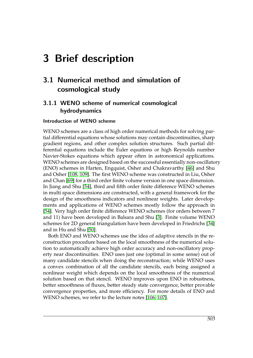# 3 Brief description

## 3.1 Numerical method and simulation of cosmological study

## 3.1.1 WENO scheme of numerical cosmological hydrodynamics

#### Introduction of WENO scheme

WENO schemes are a class of high order numerical methods for solving partial differential equations whose solutions may contain discontinuities, sharp gradient regions, and other complex solution structures. Such partial differential equations include the Euler equations or high Reynolds number Navier-Stokes equations which appear often in astronomical applications. WENO schemes are designed based on the successful essentially non-oscillatory (ENO) schemes in Harten, Engquist, Osher and Chakravarthy [\[46\]](#page-20-0) and Shu and Osher [\[108,](#page-24-0) [109\]](#page-24-1). The first WENO scheme was constructed in Liu, Osher and Chan [\[69\]](#page-22-0) for a third order finite volume version in one space dimension. In Jiang and Shu [\[54\]](#page-21-0), third and fifth order finite difference WENO schemes in multi space dimensions are constructed, with a general framework for the design of the smoothness indicators and nonlinear weights. Later developments and applications of WENO schemes mostly follow the approach in [\[54\]](#page-21-0). Very high order finite difference WENO schemes (for orders between 7 and 11) have been developed in Balsara and Shu [\[3\]](#page-18-0). Finite volume WENO schemes for 2D general triangulation have been developed in Friedrichs [\[34\]](#page-20-1) and in Hu and Shu [\[50\]](#page-21-1).

Both ENO and WENO schemes use the idea of adaptive stencils in the reconstruction procedure based on the local smoothness of the numerical solution to automatically achieve high order accuracy and non-oscillatory property near discontinuities. ENO uses just one (optimal in some sense) out of many candidate stencils when doing the reconstruction; while WENO uses a convex combination of all the candidate stencils, each being assigned a nonlinear weight which depends on the local smoothness of the numerical solution based on that stencil. WENO improves upon ENO in robustness, better smoothness of fluxes, better steady state convergence, better provable convergence properties, and more efficiency. For more details of ENO and WENO schemes, we refer to the lecture notes [\[106,](#page-24-2) [107\]](#page-24-3).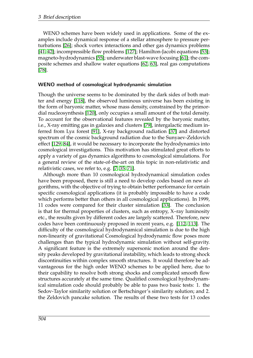WENO schemes have been widely used in applications. Some of the examples include dynamical response of a stellar atmosphere to pressure perturbations [\[26\]](#page-19-0); shock vortex interactions and other gas dynamics problems [\[41,](#page-20-2) [42\]](#page-20-3); incompressible flow problems [\[127\]](#page-25-0); Hamilton-Jacobi equations [\[53\]](#page-21-2); magneto-hydrodynamics [\[55\]](#page-21-3); underwater blast-wave focusing [\[61\]](#page-21-4); the composite schemes and shallow water equations [\[62,](#page-21-5) [63\]](#page-21-6), real gas computations [\[78\]](#page-22-1).

#### WENO method of cosmological hydrodynamic simulation

Though the universe seems to be dominated by the dark sides of both matter and energy [\[118\]](#page-25-1), the observed luminous universe has been existing in the form of baryonic matter, whose mass density, constrained by the primordial nucleosynthesis [\[120\]](#page-25-2), only occupies a small amount of the total density. To account for the observational features revealed by the baryonic matter, i.e., X-ray emitting gas in galaxies and clusters [\[79\]](#page-22-2), intergalactic medium inferred from Ly*α* forest [\[91\]](#page-23-0), X-ray background radiation [\[37\]](#page-20-4) and distorted spectrum of the cosmic background radiation due to the Sunyaev-Zeldovich effect [\[129,](#page-25-3) [84\]](#page-23-1), it would be necessary to incorporate the hydrodynamics into cosmological investigations. This motivation has stimulated great efforts to apply a variety of gas dynamics algorithms to cosmological simulations. For a general review of the state-of-the-art on this topic in non-relativistic and relativistic cases, we refer to, e.g. [\[7,](#page-18-1) [35,](#page-20-5) [71\]](#page-22-3).

Although more than 10 cosmological hydrodynamical simulation codes have been proposed, there is still a need to develop codes based on new algorithms, with the objective of trying to obtain better performance for certain specific cosmological applications (it is probably impossible to have a code which performs better than others in all cosmological applications). In 1999, 11 codes were compared for their cluster simulation [\[33\]](#page-20-6). The conclusion is that for thermal properties of clusters, such as entropy, X–ray luminosity etc., the results given by different codes are largely scattered. Therefore, new codes have been continuously proposed in recent years, e.g. [\[112,](#page-24-4) [113\]](#page-24-5). The difficulty of the cosmological hydrodynamical simulation is due to the high non-linearity of gravitational Cosmological hydrodynamic flow poses more challenges than the typical hydrodynamic simulation without self-gravity. A significant feature is the extremely supersonic motion around the density peaks developed by gravitational instability, which leads to strong shock discontinuities within complex smooth structures. It would therefore be advantageous for the high order WENO schemes to be applied here, due to their capability to resolve both strong shocks and complicated smooth flow structures accurately at the same time. Qualified cosmological hydrodynamical simulation code should probably be able to pass two basic tests: 1. the Sedov-Taylor similarity solution or Bertschinger's similarity solution; and 2. the Zeldovich pancake solution. The results of these two tests for 13 codes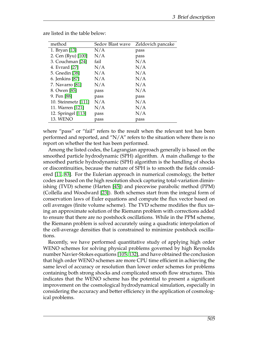| method              | Sedov Blast wave | Zeldovich pancake |
|---------------------|------------------|-------------------|
| 1. Bryan [13]       | N/A              | pass              |
| 2. Cen (Ryu) [100]  | N/A              | pass              |
| 3. Couchman [24]    | fail             | N/A               |
| 4. Evrard [27]      | N/A              | N/A               |
| 5. Gnedin [38]      | N/A              | N/A               |
| 6. Jenkins [87]     | N/A              | N/A               |
| 7. Navarro [81]     | N/A              | N/A               |
| 8. Owen [85]        | pass             | N/A               |
| 9. Pen [88]         | pass             | pass              |
| 10. Steinmetz [111] | N/A              | N/A               |
| 11. Warren [121]    | N/A              | N/A               |
| 12. Springel [113]  | pass             | N/A               |
| <b>13. WENO</b>     | pass             | pass              |

are listed in the table below:

where "pass" or "fail" refers to the result when the relevant test has been performed and reported, and " $N/A$ " refers to the situation where there is no report on whether the test has been performed.

Among the listed codes, the Lagrangian approach generally is based on the smoothed particle hydrodynamic (SPH) algorithm. A main challenge to the smoothed particle hydrodynamic (SPH) algorithm is the handling of shocks or discontinuities, because the nature of SPH is to smooth the fields considered [\[11,](#page-18-3) [83\]](#page-23-5). For the Eulerian approach in numerical cosmology, the better codes are based on the high resolution shock capturing total-variation diminishing (TVD) scheme (Harten [\[45\]](#page-20-8)) and piecewise parabolic method (PPM) (Collella and Woodward [\[23\]](#page-19-3)). Both schemes start from the integral form of conservation laws of Euler equations and compute the flux vector based on cell averages (finite volume scheme). The TVD scheme modifies the flux using an approximate solution of the Riemann problem with corrections added to ensure that there are no postshock oscillations. While in the PPM scheme, the Riemann problem is solved accurately using a quadratic interpolation of the cell-average densities that is constrained to minimize postshock oscillations.

Recently, we have performed quantitative study of applying high order WENO schemes for solving physical problems governed by high Reynolds number Navier-Stokes equations [\[105,](#page-24-8) [132\]](#page-25-5), and have obtained the conclusion that high order WENO schemes are more CPU time efficient in achieving the same level of accuracy or resolution than lower order schemes for problems containing both strong shocks and complicated smooth flow structures. This indicates that the WENO scheme has the potential to present a significant improvement on the cosmological hydrodynamical simulation, especially in considering the accuracy and better efficiency in the application of cosmological problems.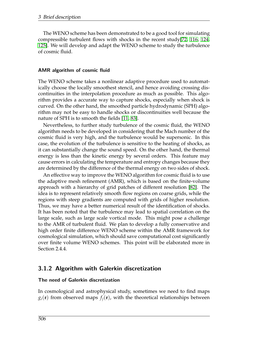The WENO scheme has been demonstrated to be a good tool for simulating compressible turbulent flows with shocks in the recent study[\[72,](#page-22-5) [116,](#page-25-6) [124,](#page-25-7) [125\]](#page-25-8). We will develop and adapt the WENO scheme to study the turbulence of cosmic fluid.

#### AMR algorithm of cosmic fluid

The WENO scheme takes a nonlinear adaptive procedure used to automatically choose the locally smoothest stencil, and hence avoiding crossing discontinuities in the interpolation procedure as much as possible. This algorithm provides a accurate way to capture shocks, especially when shock is curved. On the other hand, the smoothed particle hydrodynamic (SPH) algorithm may not be easy to handle shocks or discontinuities well because the nature of SPH is to smooth the fields [\[11,](#page-18-3) [83\]](#page-23-5).

Nevertheless, to further study turbulence of the cosmic fluid, the WENO algorithm needs to be developed in considering that the Mach number of the cosmic fluid is very high, and the turbulence would be supersonic. In this case, the evolution of the turbulence is sensitive to the heating of shocks, as it can substantially change the sound speed. On the other hand, the thermal energy is less than the kinetic energy by several orders. This feature may cause errors in calculating the temperature and entropy changes because they are determined by the difference of the thermal energy on two sides of shock.

An effective way to improve the WENO algorithm for cosmic fluid is to use the adaptive mesh refinement (AMR), which is based on the finite-volume approach with a hierarchy of grid patches of different resolution [\[82\]](#page-22-6). The idea is to represent relatively smooth flow regions on coarse grids, while the regions with steep gradients are computed with grids of higher resolution. Thus, we may have a better numerical result of the identification of shocks. It has been noted that the turbulence may lead to spatial correlation on the large scale, such as large scale vortical mode. This might pose a challenge to the AMR of turbulent fluid. We plan to develop a fully conservative and high order finite difference WENO scheme within the AMR framework for cosmological simulation, which should save computational cost significantly over finite volume WENO schemes. This point will be elaborated more in Section 2.4.4.

### 3.1.2 Algorithm with Galerkin discretization

#### The need of Galerkin discretization

In cosmological and astrophysical study, sometimes we need to find maps  $g_i(\mathbf{r})$  from observed maps  $f_i(\mathbf{r})$ , with the theoretical relationships between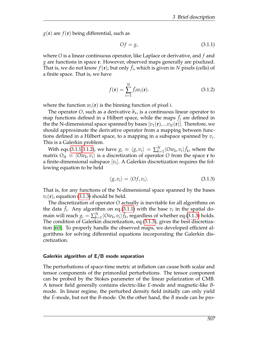$g(\mathbf{r})$  are  $f(\mathbf{r})$  being differential, such as

<span id="page-10-0"></span>
$$
Of = g,\tag{3.1.1}
$$

where *O* is a linear continuous operator, like Laplace or derivative, and *f* and *g* are functions in space **r**. However, observed maps generally are pixelized. That is, we do not know  $f(\mathbf{r})$ , but only  $\tilde{f}_i$ , which is given in N pixels (cells) of a finite space. That is, we have

<span id="page-10-1"></span>
$$
f(\mathbf{r}) = \sum_{i=1}^{N} \tilde{f}_i w_i(\mathbf{r}).
$$
\n(3.1.2)

where the function  $w_i(\mathbf{r})$  is the binning function of pixel *i*.

The operator *O*, such as a derivative *∂x*, is a continuous linear operator to map functions defined in a Hilbert space, while the maps  $\tilde{f}_j$  are defined in the the N-dimensional space spanned by bases  $[v_1(\mathbf{r}),...,v_N(\mathbf{r})]$ . Therefore, we should approximate the derivative operator from a mapping between functions defined in a Hilbert space, to a mapping in a subspace spanned by *v<sup>i</sup>* . This is a Galerkin problem.

With eqs.[\(3.1.1](#page-10-0)[,3.1.2\)](#page-10-1), we have  $g_i \equiv \langle g, v_i \rangle = \sum_{k=1}^{N} \langle O w_k, v_i \rangle \tilde{f}_k$ , where the matrix  $O_{ik} \equiv \langle Ow_k,v_i \rangle$  is a discretization of operator  $O$  from the space  $\mathbf r$  to a finite-dimensional subspace [*v<sup>i</sup>* ]. A Galerkin discretization requires the following equation to be held

<span id="page-10-2"></span>
$$
\langle g, v_i \rangle = \langle \mathcal{O}f, v_i \rangle. \tag{3.1.3}
$$

That is, for any functions of the N-dimensional space spanned by the bases  $v_i(\mathbf{r})$ , equation [\(3.1.3\)](#page-10-2) should be held.

The discretization of operator *O* actually is inevitable for all algorithms on the data  $\tilde{f}_i$ . Any algorithm on eq.[\(3.1.1\)](#page-10-0) with the base  $v_i$  in the spatial domain will reach  $g_i = \sum_{k=1}^{N} \langle O w_k , v_i \rangle \tilde{f}_k$ , regardless of whether eq.[\(3.1.3\)](#page-10-2) holds. The condition of Galerkin discretization, eq.[\(3.1.3\)](#page-10-2), gives the best discretization [\[60\]](#page-21-7). To properly handle the observed maps, we developed efficient algorithms for solving differential equations incorporating the Galerkin discretization.

#### Galerkin algorithm of E/B mode separation

The perturbations of space-time metric at inflation can cause both scalar and tensor components of the primordial perturbations. The tensor component can be probed by the Stokes parameter of the linear polarization of CMB. A tensor field generally contains electric-like *E*-mode and magnetic-like *B*mode. In linear regime, the perturbed density field initially can only yield the *E*-mode, but not the *B*-mode. On the other hand, the *B* mode can be pro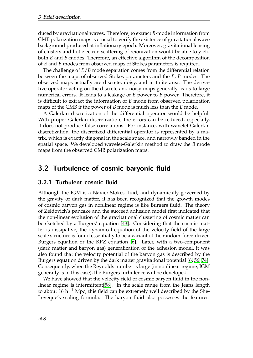duced by gravitational waves. Therefore, to extract *B*-mode information from CMB polarization maps is crucial to verify the existence of gravitational wave background produced at inflationary epoch. Moreover, gravitational lensing of clusters and hot electron scattering of reionization would be able to yield both *E* and *B*-modes. Therefore, an effective algorithm of the decomposition of *E* and *B* modes from observed maps of Stokes parameters is required.

The challenge of *E*/*B* mode separation comes from the differential relation between the maps of observed Stokes parameters and the *E*, *B* modes. The observed maps actually are discrete, noisy, and in finite area. The derivative operator acting on the discrete and noisy maps generally leads to large numerical errors. It leads to a leakage of *E* power to *B* power. Therefore, it is difficult to extract the information of *B* mode from observed polarization maps of the CMB if the power of *B* mode is much less than the *E* mode.

A Galerkin discretization of the differential operator would be helpful. With proper Galerkin discretization, the errors can be reduced, especially, it does not produce false correlations. For instance, with wavelet-Galerkin discretization, the discretized differential operator is represented by a matrix, which is exactly diagonal in the scale space, and narrowly banded in the spatial space. We developed wavelet-Galerkin method to draw the *B* mode maps from the observed CMB polarization maps.

## 3.2 Turbulence of cosmic baryonic fluid

### 3.2.1 Turbulent cosmic fluid

Although the IGM is a Navier-Stokes fluid, and dynamically governed by the gravity of dark matter, it has been recognized that the growth modes of cosmic baryon gas in nonlinear regime is like Burgers fluid. The theory of Zeldovich's pancake and the succeed adhesion model first indicated that the non-linear evolution of the gravitational clustering of cosmic matter can be sketched by a Burgers' equation [\[43\]](#page-20-9). Considering that the cosmic matter is dissipative, the dynamical equation of the velocity field of the large scale structure is found essentially to be a variant of the random-force-driven Burgers equation or the KPZ equation [\[6\]](#page-18-4). Later, with a two-component (dark matter and baryon gas) generalization of the adhesion model, it was also found that the velocity potential of the baryon gas is described by the Burgers equation driven by the dark matter gravitational potential [\[6,](#page-18-4) [56,](#page-21-8) [74\]](#page-22-7). Consequently, when the Reynolds number is large (in nonlinear regime, IGM generally is in this case), the Burgers turbulence will be developed.

We have showed that the velocity field of cosmic baryon fluid in the nonlinear regime is intermittent[\[58\]](#page-21-9). In the scale range from the Jeans length to about 16 h<sup>-1</sup> Mpc, this field can be extremely well described by the She-Lévěque's scaling formula. The baryon fluid also possesses the features: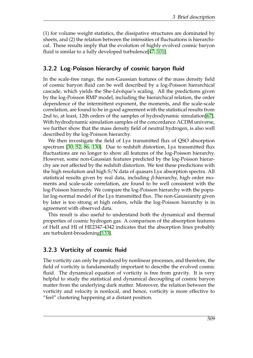(1) for volume weight statistics, the dissipative structures are dominated by sheets, and (2) the relation between the intensities of fluctuations is hierarchical. These results imply that the evolution of highly evolved cosmic baryon fluid is similar to a fully developed turbulence[\[47,](#page-20-10) [101\]](#page-24-9).

## 3.2.2 Log-Poisson hierarchy of cosmic baryon fluid

In the scale-free range, the non-Gaussian features of the mass density field of cosmic baryon fluid can be well described by a log-Poisson hierarchical cascade, which yields the She-Lévěque's scaling. All the predictions given by the log-Poisson RMP model, including the hierarchical relation, the order dependence of the intermittent exponent, the moments, and the scale-scale correlation, are found to be in good agreement with the statistical results from 2nd to, at least, 12th orders of the samples of hydrodynamic simulation[\[67\]](#page-22-8). With hydrodynamic simulation samples of the concordance ΛCDM universe, we further show that the mass density field of neutral hydrogen, is also well described by the log-Poisson hierarchy.

We then investigate the field of Ly*α* transmitted flux of QSO absorption spectrum [\[30,](#page-19-4) [52,](#page-21-10) [86,](#page-23-6) [130\]](#page-25-9). Due to redshift distortion, Ly*α* transmitted flux fluctuations are no longer to show all features of the log-Poisson hierarchy. However, some non-Gaussian features predicted by the log-Poisson hierarchy are not affected by the redshift distortion. We test these predictions with the high resolution and high S/N data of quasars Ly*α* absorption spectra. All statistical results given by real data, including *β*-hierarchy, high order moments and scale-scale correlation, are found to be well consistent with the log-Poisson hierarchy. We compare the log-Poisson hierarchy with the popular log-normal model of the Ly*α* transmitted flux. The non-Gaussianity given by later is too strong at high orders, while the log-Poisson hierarchy is in agreement with observed data.

This result is also useful to understand both the dynamical and thermal properties of cosmic hydrogen gas. A comparison of the absorption features of HeII and HI of HE2347-4342 indicates that the absorption lines probably are turbulent-broadening[\[133\]](#page-26-0).

### 3.2.3 Vorticity of cosmic fluid

The vorticity can only be produced by nonlinear processes, and therefore, the field of vorticity is fundamentally important to describe the evolved cosmic fluid. The dynamical equation of vorticity is free from gravity. It is very helpful to study the statistical and dynamical decoupling of cosmic baryon matter from the underlying dark matter. Moreover, the relation between the vorticity and velocity is nonlocal, and hence, vorticity is more effective to "feel" clustering happening at a distant position.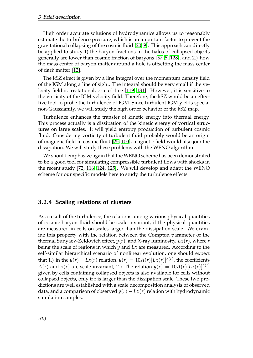High order accurate solutions of hydrodynamics allows us to reasonably estimate the turbulence pressure, which is an important factor to prevent the gravitational collapsing of the cosmic fluid [\[20,](#page-19-5) [9\]](#page-18-5). This approach can directly be applied to study 1) the baryon fractions in the halos of collapsed objects generally are lower than cosmic fraction of baryons [\[57,](#page-21-11) [5,](#page-18-6) [128\]](#page-25-10), and 2.) how the mass center of baryon matter around a hole is offsetting the mass center of dark matter [\[12\]](#page-18-7).

The kSZ effect is given by a line integral over the momentum density field of the IGM along a line of sight. The integral should be very small if the velocity field is irrotational, or curl-free [\[119,](#page-25-11) [131\]](#page-25-12). However, it is sensitive to the vorticity of the IGM velocity field. Therefore, the kSZ would be an effective tool to probe the turbulence of IGM. Since turbulent IGM yields special non-Gaussianity, we will study the high order behavior of the kSZ map.

Turbulence enhances the transfer of kinetic energy into thermal energy. This process actually is a dissipation of the kinetic energy of vortical structures on large scales. It will yield entropy production of turbulent cosmic fluid. Considering vorticity of turbulent fluid probably would be an origin of magnetic field in cosmic fluid [\[25,](#page-19-6) [100\]](#page-24-6), magnetic field would also join the dissipation. We will study these problems with the WENO algorithm.

We should emphasize again that the WENO scheme has been demonstrated to be a good tool for simulating compressible turbulent flows with shocks in the recent study [\[72,](#page-22-5) [116,](#page-25-6) [124,](#page-25-7) [125\]](#page-25-8). We will develop and adapt the WENO scheme for our specific models here to study the turbulence effects.

### 3.2.4 Scaling relations of clusters

As a result of the turbulence, the relations among various physical quantities of cosmic baryon fluid should be scale invariant, if the physical quantities are measured in cells on scales larger than the dissipation scale. We examine this property with the relation between the Compton parameter of the thermal Sunyaev-Zeldovich effect,  $y(r)$ , and X-ray luminosity,  $Lx(r)$ , where  $r$ being the scale of regions in which *y* and *Lx* are measured. According to the self-similar hierarchical scenario of nonlinear evolution, one should expect that 1.) in the  $y(r) - Lx(r)$  relation,  $y(r) = 10A(r)[Lx(r)]^{\alpha(r)}$ , the coefficients *A*(*r*) and *α*(*r*) are scale-invariant; 2.) The relation  $y(r) = 10A(r)[Lx(r)]^{\alpha(r)}$ given by cells containing collapsed objects is also available for cells without collapsed objects, only if r is larger than the dissipation scale. These two predictions are well established with a scale decomposition analysis of observed data, and a comparison of observed  $y(r) - Lx(r)$  relation with hydrodynamic simulation samples.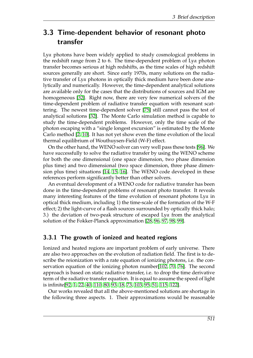## 3.3 Time-dependent behavior of resonant photo transfer

Ly*α* photons have been widely applied to study cosmological problems in the redshift range from 2 to 6. The time-dependent problem of Ly*α* photon transfer becomes serious at high redshifts, as the time scales of high redshift sources generally are short. Since early 1970s, many solutions on the radiative transfer of Ly*α* photons in optically thick medium have been done analytically and numerically. However, the time-dependent analytical solutions are available only for the cases that the distributions of sources and IGM are homogeneous [\[32\]](#page-20-11). Right now, there are very few numerical solvers of the time-dependent problem of radiative transfer equation with resonant scattering. The newest time-dependent solver [\[75\]](#page-22-9) still cannot pass the test of analytical solutions [\[32\]](#page-20-11). The Monte Carlo simulation method is capable to study the time-dependent problems. However, only the time scale of the photon escaping with a "single longest excursion" is estimated by the Monte Carlo method [\[2,](#page-18-8) [10\]](#page-18-9). It has not yet show even the time evolution of the local thermal equilibrium of Wouthuysen-Field (W-F) effect.

On the other hand, the WENO solver can very well pass these tests [\[96\]](#page-23-7). We have successfully to solve the radiative transfer by using the WENO scheme for both the one dimensional (one space dimension, two phase dimension plus time) and two dimensional (two space dimension, three phase dimension plus time) situations [\[14,](#page-18-10) [15,](#page-19-7) [16\]](#page-19-8). The WENO code developed in these references perform significantly better than other solvers.

An eventual development of a WENO code for radiative transfer has been done in the time-dependent problems of resonant photo transfer. It reveals many interesting features of the time evolution of resonant photons Ly*α* in optical thick medium, including 1) the time-scale of the formation of the W-F effect; 2) the light-curve of a flash sources surrounded by optically thick halo; 3.) the deviation of two-peak structure of escaped Ly*α* from the analytical solution of the Fokker-Planck approximation [\[28,](#page-19-9) [96,](#page-23-7) [97,](#page-23-8) [98,](#page-23-9) [99\]](#page-23-10).

### 3.3.1 The growth of ionized and heated regions

Ionized and heated regions are important problem of early universe. There are also two approaches on the evolution of radiation field. The first is to describe the reionization with a rate equation of ionizing photons, i.e. the conservation equation of the ionizing photon number[\[102,](#page-24-10) [70,](#page-22-10) [76\]](#page-22-11). The second approach is based on static radiative transfer, i.e. to drop the time derivative term of the radiative transfer equation. It is equal to assume the speed of light is infinite[\[92,](#page-23-11) [1,](#page-18-11) [22,](#page-19-10) [40,](#page-20-12) [110,](#page-24-11) [80,](#page-22-12) [93,](#page-23-12) [18,](#page-19-11) [73,](#page-22-13) [103,](#page-24-12) [95,](#page-23-13) [51,](#page-21-12) [115,](#page-24-13) [122\]](#page-25-13).

Our works revealed that all the above-mentioned solutions are shortage in the following three aspects. 1. Their approximations would be reasonable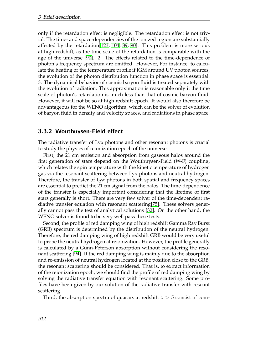only if the retardation effect is negligible. The retardation effect is not trivial. The time- and space-dependencies of the ionized region are substantially affected by the retardation[\[123,](#page-25-14) [104,](#page-24-14) [89,](#page-23-14) [90\]](#page-23-15). This problem is more serious at high redshift, as the time scale of the retardation is comparable with the age of the universe [\[90\]](#page-23-15). 2. The effects related to the time-dependence of photon's frequency spectrum are omitted. However, For instance, to calculate the heating or the temperature profile if IGM around UV photon sources, the evolution of the photon distribution function in phase space is essential. 3. The dynamical behavior of cosmic baryon fluid is treated separately with the evolution of radiation. This approximation is reasonable only it the time scale of photon's retardation is much less than that of cosmic baryon fluid. However, it will not be so at high redshift epoch. It would also therefore be advantageous for the WENO algorithm, which can be the solver of evolution of baryon fluid in density and velocity spaces, and radiations in phase space.

### 3.3.2 Wouthuysen-Field effect

The radiative transfer of Ly*α* photons and other resonant photons is crucial to study the physics of reionization epoch of the universe.

First, the 21 cm emission and absorption from gaseous halos around the first generation of stars depend on the Wouthuysen-Field (W-F) coupling, which relates the spin temperature with the kinetic temperature of hydrogen gas via the resonant scattering between Ly*α* photons and neutral hydrogen. Therefore, the transfer of Ly*α* photons in both spatial and frequency spaces are essential to predict the 21 cm signal from the halos. The time-dependence of the transfer is especially important considering that the lifetime of first stars generally is short. There are very few solver of the time-dependent radiative transfer equation with resonant scattering[\[75\]](#page-22-9). These solvers generally cannot pass the test of analytical solutions [\[32\]](#page-20-11). On the other hand, the WENO solver is found to be very well pass these tests.

Second, the profile of red damping wing of high redshift Gamma Ray Burst (GRB) spectrum is determined by the distribution of the neutral hydrogen. Therefore, the red damping wing of high redshift GRB would be very useful to probe the neutral hydrogen at reionization. However, the profile generally is calculated by a Gunn-Peterson absorption without considering the resonant scattering [\[94\]](#page-23-16). If the red damping wing is mainly due to the absorption and re-emission of neutral hydrogen located at the position close to the GRB, the resonant scattering should be considered. That is, to extract information of the reionization epoch, we should find the profile of red damping wing by solving the radiative transfer equation with resonant scattering. Some profiles have been given by our solution of the radiative transfer with resoant scattering.

Third, the absorption spectra of quasars at redshift *z* > 5 consist of com-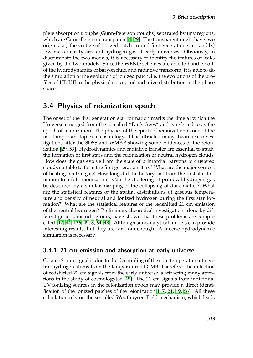plete absorption troughs (Gunn-Peterson troughs) separated by tiny regions, which are Gunn-Peterson transparent[\[4,](#page-18-12) [29\]](#page-19-12). The transparent might have two origins: a.) the vestige of ionized patch around first generation stars and b.) low mass density areas of hydrogen gas at early universes. Obviously, to discriminate the two models, it is necessary to identify the features of leaks given by the two models. Since the WENO schemes are able to handle both of the hydrodynamics of baryon fluid and radiative transform, it is able to do the simulation of the evolution of ionized patch, i.e. the evolutions of the profiles of HI, HII in the physical space, and radiative distribution in the phase space.

## 3.4 Physics of reionization epoch

The onset of the first generation star formation marks the time at which the Universe emerged from the so-called "Dark Ages" and is referred to as the epoch of reionization. The physics of the epoch of reionization is one of the most important topics in cosmology. It has attracted many theoretical investigations after the SDSS and WMAP showing some evidences of the reionization [\[29,](#page-19-12) [59\]](#page-21-13). Hydrodynamics and radiative transfer are essential to study the formation of first stars and the reionization of neutral hydrogen clouds. How does the gas evolve from the state of primordial baryons to clustered clouds suitable to form the first generation stars? What are the major sources of heating neutral gas? How long did the history last from the first star formation to a full reionization? Can the clustering of primeval hydrogen gas be described by a similar mapping of the collapsing of dark matter? What are the statistical features of the spatial distributions of gaseous temperature and density of neutral and ionized hydrogen during the first star formation? What are the statistical features of the redshifted 21 cm emission of the neutral hydrogen? Preliminary theoretical investigations done by different groups, including ours, have shown that these problems are complicated [\[17,](#page-19-13) [44,](#page-20-13) [126,](#page-25-15) [49,](#page-21-14) [8,](#page-18-13) [64,](#page-21-15) [48\]](#page-21-16). Although simeanalytical models can provide interesting results, but they are far from enough. A precise hydrodynamic simulation is necessary.

### 3.4.1 21 cm emission and absorption at early universe

Cosmic 21 cm signal is due to the decoupling of the spin temperature of neutral hydrogen atoms from the temperature of CMB. Therefore, the detection of redshifted 21 cm signals from the early universe is attracting many attentions in the study of cosmology[\[36,](#page-20-14) [48\]](#page-21-16). The 21 cm signals from individual UV ionizing sources in the reionization epoch may provide a direct identification of the ionized patches of the reionization[\[117,](#page-25-16) [21,](#page-19-14) [19,](#page-19-15) [66\]](#page-22-14). All these calculation rely on the so-called Wouthuysen-Field mechanism, which leads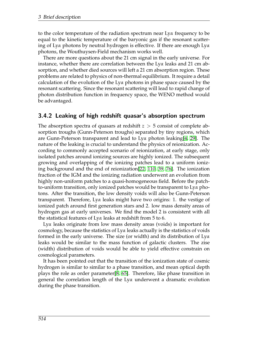to the color temperature of the radiation spectrum near Ly*α* frequency to be equal to the kinetic temperature of the baryonic gas if the resonant scattering of Ly*α* photons by neutral hydrogen is effective. If there are enough Ly*α* photons, the Wouthuysen-Field mechanism works well.

There are more questions about the 21 cm signal in the early universe. For instance, whether there are correlation between the Ly*α* leaks and 21 cm absorption, and whether died sources will left a 21 cm absorption region. These problems are related to physics of non-thermal equilibrium. It require a detail calculation of the evolution of the Ly*α* photons in phase space caused by the resonant scattering. Since the resonant scattering will lead to rapid change of photon distribution function in frequency space, the WENO method would be advantaged.

#### 3.4.2 Leaking of high redshift quasar's absorption spectrum

The absorption spectra of quasars at redshift *z* > 5 consist of complete absorption troughs (Gunn-Peterson troughs) separated by tiny regions, which are Gunn-Peterson transparent and lead to Ly*α* photon leaking[\[4,](#page-18-12) [29\]](#page-19-12). The nature of the leaking is crucial to understand the physics of reionization. According to commonly accepted scenario of reionization, at early stage, only isolated patches around ionizing sources are highly ionized. The subsequent growing and overlapping of the ionizing patches lead to a uniform ionizing background and the end of reionization[\[22,](#page-19-10) [110,](#page-24-11) [39,](#page-20-15) [76\]](#page-22-11). The ionization fraction of the IGM and the ionizing radiation underwent an evolution from highly non-uniform patches to a quasi-homogeneous field. Before the patchto-uniform transition, only ionized patches would be transparent to Ly*α* photons. After the transition, the low density voids will also be Gunn-Peterson transparent. Therefore, Ly*α* leaks might have two origins: 1. the vestige of ionized patch around first generation stars and 2. low mass density areas of hydrogen gas at early universes. We find the model 2 is consistent with all the statistical features of Ly*α* leaks at redshift from 5 to 6.

Ly*α* leaks originate from low mass density areas (voids) is important for cosmology, because the statistics of Ly*α* leaks actually is the statistics of voids formed in the early universe. The size (or width) and its distribution of Ly*α* leaks would be similar to the mass function of galactic clusters. The zise (width) distribution of voids would be able to yield effective constrain on cosmological parameters.

It has been pointed out that the transition of the ionization state of cosmic hydrogen is similar to similar to a phase transition, and mean optical depth plays the role as order parameter[\[8,](#page-18-13) [65\]](#page-21-17). Therefore, like phase transition in general the correlation length of the Ly*α* underwent a dramatic evolution during the phase transition.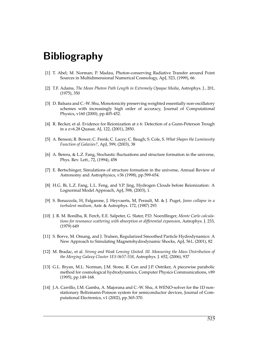# Bibliography

- <span id="page-18-11"></span>[1] T. Abel; M. Norman; P. Madau, Photon-conserving Radiative Transfer around Point Sources in Multidimensional Numerical Cosmology, ApJ, 523, (1999), 66.
- <span id="page-18-8"></span>[2] T.F. Adams, *The Mean Photon Path Length in Extremely Opaque Media*, Astrophys. J., 201, (1975), 350
- <span id="page-18-0"></span>[3] D. Balsara and C.-W. Shu, Monotonicity preserving weighted essentially non-oscillatory schemes with increasingly high order of accuracy, Journal of Computational Physics, v160 (2000), pp.405-452.
- <span id="page-18-12"></span>[4] R. Becker, et al. Evidence for Reionization at z 6: Detection of a Gunn-Peterson Trough in a z=6.28 Quasar, AJ, 122, (2001), 2850.
- <span id="page-18-6"></span>[5] A. Benson; R. Bower; C. Frenk; C. Lacey; C. Baugh; S. Cole, S. *What Shapes the Luminosity Function of Galaxies?*, ApJ, 599, (2003), 38
- <span id="page-18-4"></span>[6] A. Berera, & L.Z. Fang, Stochastic fluctuations and structure formation in the universe, Phys. Rev. Lett., 72, (1994), 458
- <span id="page-18-1"></span>[7] E. Bertschinger, Simulations of structure formation in the universe, Annual Review of Astronomy and Astrophysics, v36 (1998), pp.599-654.
- <span id="page-18-13"></span>[8] H.G. Bi, L.Z. Fang, L.L. Feng, and Y.P. Jing, Hydrogen Clouds before Reionization: A Lognormal Model Approach, ApJ, 598, (2003), 1.
- <span id="page-18-5"></span>[9] S. Bonazzola, H, Falgarone, J. Heyvaerts, M, Perault, M. & J. Puget, *Jeans collapse in a turbulent medium*, Astr. & Astrophys. 172, (1987) 293
- <span id="page-18-9"></span>[10] J. R. M. Bonilha, R. Ferch, E.E. Salpeter, G. Slater, P.D. Noerdlinger, *Monte Carlo calculations for resonance scattering with absorption or differential expansion*, Astrophys. J. 233, (1979) 649
- <span id="page-18-3"></span>[11] S. Borve, M. Omang, and J. Trulsen, Regularized Smoothed Particle Hydrodynamics: A New Approach to Simulating Magnetohydrodynamic Shocks, ApJ, 561, (2001), 82
- <span id="page-18-7"></span>[12] M. Bradac, et al. *Strong and Weak Lensing United. III. Measuring the Mass Distribution of the Merging Galaxy Cluster 1ES 0657-558*, Astrophys. J. 652, (2006), 937
- <span id="page-18-2"></span>[13] G.L. Bryan, M.L. Norman, J.M. Stone, R. Cen and J.P. Ostriker, A piecewise parabolic method for cosmological hydrodynamics, Computer Physics Communications, v89 (1995), pp.149-168.
- <span id="page-18-10"></span>[14] J.A. Carrillo, I.M. Gamba, A. Majorana and C.-W. Shu, A WENO-solver for the 1D nonstationary Boltzmann-Poisson system for semiconductor devices, Journal of Computational Electronics, v1 (2002), pp.365-370.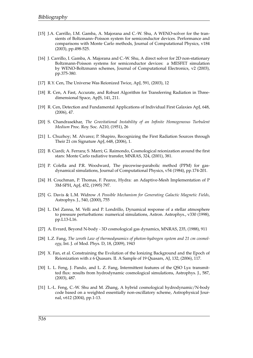- <span id="page-19-7"></span>[15] J.A. Carrillo, I.M. Gamba, A. Majorana and C.-W. Shu, A WENO-solver for the transients of Boltzmann–Poisson system for semiconductor devices. Performance and comparisons with Monte Carlo methods, Journal of Computational Physics, v184 (2003), pp.498-525.
- <span id="page-19-8"></span>[16] J. Carrillo, I. Gamba, A. Majorana and C.-W. Shu, A direct solver for 2D non-stationary Boltzmann-Poisson systems for semiconductor devices: a MESFET simulation by WENO-Boltzmann schemes, Journal of Computational Electronics, v2 (2003), pp.375-380.
- <span id="page-19-13"></span>[17] R.Y. Cen, The Universe Was Reionized Twice, ApJ, 591, (2003), 12
- <span id="page-19-11"></span>[18] R. Cen, A Fast, Accurate, and Robust Algorithm for Transferring Radiation in Threedimensional Space, ApJS, 141, 211.
- <span id="page-19-15"></span>[19] R. Cen, Detection and Fundamental Applications of Individual First Galaxies ApJ, 648, (2006), 47.
- <span id="page-19-5"></span>[20] S. Chandrasekhar, *The Gravitational Instability of an Infinite Homogeneous Turbulent Medium* Proc. Roy. Soc. A210, (1951), 26
- <span id="page-19-14"></span>[21] L. Chuzhoy; M. Alvarez; P. Shapiro, Recognizing the First Radiation Sources through Their 21 cm Signature ApJ, 648, (2006), 1.
- <span id="page-19-10"></span>[22] B. Ciardi; A. Ferrara; S. Marri; G. Raimondo, Cosmological reionization around the first stars: Monte Carlo radiative transfer, MNRAS, 324, (2001), 381.
- <span id="page-19-3"></span>[23] P. Colella and P.R. Woodward, The piecewise-parabolic method (PPM) for gasdynamical simulations, Journal of Computational Physics, v54 (1984), pp.174-201.
- <span id="page-19-1"></span>[24] H. Couchman, P. Thomas, F. Pearce, Hydra: an Adaptive-Mesh Implementation of P 3M-SPH, ApJ, 452, (1995) 797.
- <span id="page-19-6"></span>[25] G. Davis & L.M. Widrow *A Possible Mechanism for Generating Galactic Magnetic Fields*, Astrophys. J., 540, (2000), 755
- <span id="page-19-0"></span>[26] L. Del Zanna, M. Velli and P. Londrillo, Dynamical response of a stellar atmosphere to pressure perturbations: numerical simulations, Astron. Astrophys., v330 (1998), pp.L13-L16.
- <span id="page-19-2"></span>[27] A. Evrard, Beyond N-body - 3D cosmological gas dynamics, MNRAS, 235, (1988), 911
- <span id="page-19-9"></span>[28] L.Z. Fang, *The zeroth Law of thermodynamics of photon-hydrogen system and 21 cm cosmology*, Int. J. of Mod. Phys. D, 18, (2009), 1943
- <span id="page-19-12"></span>[29] X. Fan, et al. Constraining the Evolution of the Ionizing Background and the Epoch of Reionization with z 6 Quasars. II. A Sample of 19 Quasars, AJ, 132, (2006), 117.
- <span id="page-19-4"></span>[30] L. L. Feng, J. Pando, and L. Z. Fang, Intermittent features of the QSO Ly*α* transmitted flux: results from hydrodynamic cosmological simulations, Astrophys. J., 587, (2003), 487.
- [31] L.-L. Feng, C.-W. Shu and M. Zhang, A hybrid cosmological hydrodynamic/N-body code based on a weighted essentially non-oscillatory scheme, Astrophysical Journal, v612 (2004), pp.1-13.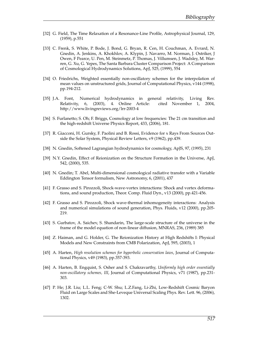- <span id="page-20-11"></span>[32] G. Field, The Time Relaxation of a Resonance-Line Profile, Astrophysical Journal, 129, (1959), p.551
- <span id="page-20-6"></span>[33] C. Frenk, S. White, P. Bode, J. Bond, G. Bryan, R. Cen, H. Couchman, A. Evrard, N. Gnedin, A. Jenkins, A. Khokhlov, A. Klypin, J. Navarro, M. Norman, J. Ostriker, J Owen, F Pearce, U. Pen, M. Steinmetz, P. Thomas, J. Villumsen, J. Wadsley, M. Warren, G. Xu, G. Yepes, The Santa Barbara Cluster Comparison Project: A Comparison of Cosmological Hydrodynamics Solutions, ApJ, 525, (1999), 554
- <span id="page-20-1"></span>[34] O. Friedrichs, Weighted essentially non-oscillatory schemes for the interpolation of mean values on unstructured grids, Journal of Computational Physics, v144 (1998), pp.194-212.
- <span id="page-20-5"></span>[35] J.A. Font, Numerical hydrodynamics in general relativity, Living Rev. Relativity, 6, (2003), 4. Online Article: cited November 1, 2004, http://www.livingreviews.org/lrr-2003-4
- <span id="page-20-14"></span>[36] S. Furlanetto; S. Oh; F. Briggs, Cosmology at low frequencies: The 21 cm transition and the high-redshift Universe Physics Report, 433, (2006), 181.
- <span id="page-20-4"></span>[37] R. Giacconi, H. Gursky, F. Paolini and B. Rossi, Evidence for x Rays From Sources Outside the Solar System, Physical Review Letters, v9 (1962), pp.439.
- <span id="page-20-7"></span>[38] N. Gnedin, Softened Lagrangian hydrodynamics for cosmology, ApJS, 97, (1995), 231
- <span id="page-20-15"></span>[39] N.Y. Gnedin, Effect of Reionization on the Structure Formation in the Universe, ApJ, 542, (2000), 535.
- <span id="page-20-12"></span>[40] N. Gnedin; T. Abel, Multi-dimensional cosmological radiative transfer with a Variable Eddington Tensor formalism, New Astronomy, 6, (2001), 437
- <span id="page-20-2"></span>[41] F. Grasso and S. Pirozzoli, Shock-wave-vortex interactions: Shock and vortex deformations, and sound production, Theor. Comp. Fluid Dyn., v13 (2000), pp.421-456.
- <span id="page-20-3"></span>[42] F. Grasso and S. Pirozzoli, Shock wave-thermal inhomogeneity interactions: Analysis and numerical simulations of sound generation, Phys. Fluids, v12 (2000), pp.205- 219.
- <span id="page-20-9"></span>[43] S. Gurbatov, A. Saichev, S. Shandarin, The large-scale structure of the universe in the frame of the model equation of non-linear diffusion, MNRAS, 236, (1989) 385
- <span id="page-20-13"></span>[44] Z. Haiman, and G. Holder, G. The Reionization History at High Redshifts I: Physical Models and New Constraints from CMB Polarization, ApJ, 595, (2003), 1
- <span id="page-20-8"></span>[45] A. Harten, *High resolution schemes for hyperbolic conservation laws*, Journal of Computational Physics, v49 (1983), pp.357-393.
- <span id="page-20-0"></span>[46] A. Harten, B. Engquist, S. Osher and S. Chakravarthy, *Uniformly high order essentially non-oscillatory schemes, III*, Journal of Computational Physics, v71 (1987), pp.231- 303.
- <span id="page-20-10"></span>[47] P. He; J.R. Liu; L.L. Feng; C-W. Shu; L.Z.Fang, Li-Zhi, Low-Redshift Cosmic Baryon Fluid on Large Scales and She-Leveque Universal Scaling Phys. Rev. Lett. 96, (2006), 1302.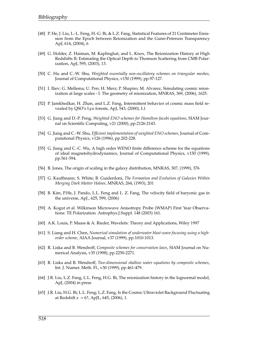- <span id="page-21-16"></span>[48] P. He, J. Liu, L.-L. Feng, H.-G. Bi, & L.Z. Fang, Statistical Features of 21 Centimeter Emission from the Epoch between Reionization and the Gunn-Peterson Transparency ApJ, 614, (2004), 6
- <span id="page-21-14"></span>[49] G. Holder, Z. Haiman, M. Kaplinghat, and L. Knox, The Reionization History at High Redshifts II: Estimating the Optical Depth to Thomson Scattering from CMB Polarization, ApJ, 595, (2003), 13.
- <span id="page-21-1"></span>[50] C. Hu and C.-W. Shu, *Weighted essentially non-oscillatory schemes on triangular meshes*, Journal of Computational Physics, v150 (1999), pp.97-127.
- <span id="page-21-12"></span>[51] I. Iliev; G. Mellema; U. Pen; H. Merz; P. Shapiro; M. Alvarez, Simulating cosmic reionization at large scales - I. The geometry of reionization, MNRAS, 369, (2006), 1625.
- <span id="page-21-10"></span>[52] P. Jamkhedkar, H. Zhan, and L.Z. Fang, Intermittent behavior of cosmic mass field revealed by QSO's Ly*α* forests, ApJ, 543, (2000), L1
- <span id="page-21-2"></span>[53] G. Jiang and D.-P. Peng, *Weighted ENO schemes for Hamilton-Jacobi equations*, SIAM Journal on Scientific Computing, v21 (2000), pp.2126-2143.
- <span id="page-21-0"></span>[54] G. Jiang and C.-W. Shu, *Efficient implementation of weighted ENO schemes*, Journal of Computational Physics, v126 (1996), pp.202-228.
- <span id="page-21-3"></span>[55] G. Jiang and C.-C. Wu, A high order WENO finite difference scheme for the equations of ideal magnetohydrodynamics, Journal of Computational Physics, v150 (1999), pp.561-594.
- <span id="page-21-8"></span>[56] B. Jones, The origin of scaling in the galaxy distribution, MNRAS, 307, (1999), 376
- <span id="page-21-11"></span>[57] G. Kauffmann; S. White; B. Guiderdoni, *The Formation and Evolution of Galaxies Within Merging Dark Matter Haloes*, MNRAS, 264, (1993), 201
- <span id="page-21-9"></span>[58] B. Kim, P.He, J. Pando, L.L. Feng and L. Z. Fang, The velocity field of baryonic gas in the universe, ApJ., 625, 599, (2006)
- <span id="page-21-13"></span>[59] A. Kogut et al. Wilkinson Microwave Anisotropy Probe (WMAP) First Year Observations: TE Polarization. Astrophys.J.Suppl. 148 (2003) 161.
- <span id="page-21-7"></span>[60] A.K. Louis, P. Maass & A. Rieder, Wavelets: Theory and Applications, Wiley 1997
- <span id="page-21-4"></span>[61] S. Liang and H. Chen, *Numerical simulation of underwater blast-wave focusing using a highorder scheme*, AIAA Journal, v37 (1999), pp.1010-1013.
- <span id="page-21-5"></span>[62] R. Liska and B. Wendroff, *Composite schemes for conservation laws*, SIAM Journal on Numerical Analysis, v35 (1998), pp.2250-2271.
- <span id="page-21-6"></span>[63] R. Liska and B. Wendroff, *Two-dimensional shallow water equations by composite schemes*, Int. J. Numer. Meth. Fl., v30 (1999), pp.461-479.
- <span id="page-21-15"></span>[64] J.R. Liu, L.Z. Fang, L.L. Feng, H.G. Bi, The reionization history in the lognormal model, ApJ, (2004) in press
- <span id="page-21-17"></span>[65] J.R. Liu; H.G. Bi; L.L. Feng; L.Z. Fang, Is the Cosmic Ultraviolet Background Fluctuating at Redshift z =  $6$ ?, ApJL,  $645$ , (2006), 1.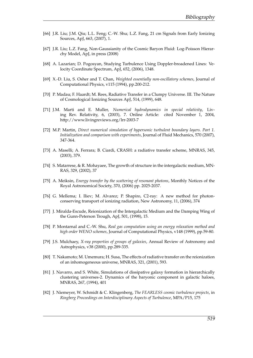- <span id="page-22-14"></span>[66] J.R. Liu; J.M. Qiu; L.L. Feng; C.-W. Shu; L.Z. Fang, 21 cm Signals from Early Ionizing Sources, ApJ, 663, (2007), 1.
- <span id="page-22-8"></span>[67] J.R. Liu; L.Z. Fang, Non-Gaussianity of the Cosmic Baryon Fluid: Log-Poisson Hierarchy Model, ApJ, in press (2008)
- [68] A. Lazarian; D. Pogosyan, Studying Turbulence Using Doppler-broadened Lines: Velocity Coordinate Spectrum, ApJ, 652, (2006), 1348.
- <span id="page-22-0"></span>[69] X.-D. Liu, S. Osher and T. Chan, *Weighted essentially non-oscillatory schemes*, Journal of Computational Physics, v115 (1994), pp.200-212.
- <span id="page-22-10"></span>[70] P. Madau; F. Haardt; M. Rees, Radiative Transfer in a Clumpy Universe. III. The Nature of Cosmological Ionizing Sources ApJ, 514, (1999), 648.
- <span id="page-22-3"></span>[71] J.M. Marti and E. Muller, *Numerical hydrodynamics in special relativity*, Living Rev. Relativity, 6, (2003), 7. Online Article: cited November 1, 2004, http://www.livingreviews.org/lrr-2003-7
- <span id="page-22-5"></span>[72] M.P. Martin, *Direct numerical simulation of hypersonic turbulent boundary layers. Part 1. Initialization and comparison with experiments*, Journal of Fluid Mechanics, 570 (2007), 347-364.
- <span id="page-22-13"></span>[73] A. Maselli; A. Ferrara; B. Ciardi, CRASH: a radiative transfer scheme, MNRAS, 345, (2003), 379.
- <span id="page-22-7"></span>[74] S. Matarrese, & R. Mohayaee, The growth of structure in the intergalactic medium, MN-RAS, 329, (2002), 37
- <span id="page-22-9"></span>[75] A. Meiksin, *Energy transfer by the scattering of resonant photons*, Monthly Notices of the Royal Astronomical Society, 370, (2006) pp. 2025-2037.
- <span id="page-22-11"></span>[76] G. Mellema; I. Iliev; M. Alvarez; P. Shapiro, C2-ray: A new method for photonconserving transport of ionizing radiation, New Astronomy, 11, (2006), 374
- [77] J. Miralda-Escude, Reionization of the Intergalactic Medium and the Damping Wing of the Gunn-Peterson Trough, ApJ, 501, (1998), 15.
- <span id="page-22-1"></span>[78] P. Montarnal and C.-W. Shu, *Real gas computation using an energy relaxation method and high order WENO schemes*, Journal of Computational Physics, v148 (1999), pp.59-80.
- <span id="page-22-2"></span>[79] J.S. Mulchaey, *X-ray properties of groups of galaxies*, Annual Review of Astronomy and Astrophysics, v38 (2000), pp.289-335.
- <span id="page-22-12"></span>[80] T. Nakamoto; M. Umemura; H. Susa, The effects of radiative transfer on the reionization of an inhomogeneous universe, MNRAS, 321, (2001), 593.
- <span id="page-22-4"></span>[81] J. Navarro, and S. White, Simulations of dissipative galaxy formation in hierarchically clustering universes-2. Dynamics of the baryonic component in galactic haloes, MNRAS, 267, (1994), 401
- <span id="page-22-6"></span>[82] J. Niemeyer, W. Schmidt & C. Klingenberg, *The FEARLESS cosmic turbulence projects*, in *Ringberg Proceedings on Interdisciplinary Aspects of Turbulence*, MPA/P15, 175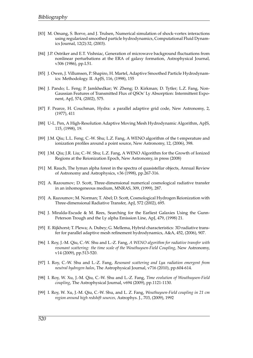- <span id="page-23-5"></span>[83] M. Omang, S. Borve, and J. Trulsen, Numerical simulation of shock-vortex interactions using regularized smoothed particle hydrodynamics, Computational Fluid Dynamics Journal, 12(2):32, (2003).
- <span id="page-23-1"></span>[84] J.P. Ostriker and E.T. Vishniac, Generation of microwave background fluctuations from nonlinear perturbations at the ERA of galaxy formation, Astrophysical Journal, v306 (1986), pp.L51.
- <span id="page-23-3"></span>[85] J. Owen, J. Villumsen, P. Shapiro, H. Martel, Adaptive Smoothed Particle Hydrodynamics: Methodology. II. ApJS, 116, (1998), 155
- <span id="page-23-6"></span>[86] J. Pando; L. Feng; P. Jamkhedkar; W. Zheng; D. Kirkman; D. Tytler; L.Z. Fang, Non-Gaussian Features of Transmitted Flux of QSOs' Ly Absorption: Intermittent Exponent, ApJ, 574, (2002), 575.
- <span id="page-23-2"></span>[87] F. Pearce, H. Couchman, Hydra: a parallel adaptive grid code, New Astronomy, 2, (1977), 411
- <span id="page-23-4"></span>[88] U-L. Pen, A High-Resolution Adaptive Moving Mesh Hydrodynamic Algorithm, ApJS, 115, (1998), 19.
- <span id="page-23-14"></span>[89] J.M. Qiu; L.L. Feng; C.-W. Shu; L.Z. Fang, A WENO algorithm of the t emperature and ionization profiles around a point source, New Astronomy, 12, (2006), 398.
- <span id="page-23-15"></span>[90] J.M. Qiu; J.R. Liu; C.-W. Shu; L.Z. Fang, A WENO Algorithm for the Growth of Ionized Regions at the Reionization Epoch, New Astronomy, in press (2008)
- <span id="page-23-0"></span>[91] M. Rauch, The lyman alpha forest in the spectra of quasistellar objects, Annual Review of Astronomy and Astrophysics, v36 (1998), pp.267-316.
- <span id="page-23-11"></span>[92] A. Razoumov; D. Scott, Three-dimensional numerical cosmological radiative transfer in an inhomogeneous medium, MNRAS, 309, (1999), 287.
- <span id="page-23-12"></span>[93] A. Razoumov; M. Norman; T. Abel; D. Scott, Cosmological Hydrogen Reionization with Three-dimensional Radiative Transfer, ApJ, 572 (2002), 695.
- <span id="page-23-16"></span>[94] J. Miralda-Escude & M. Rees, Searching for the Earliest Galaxies Using the Gunn-Peterson Trough and the Ly alpha Emission Line, ApJ, 479, (1998) 21.
- <span id="page-23-13"></span>[95] E. Rijkhorst; T. Plewa; A. Dubey; G. Mellema, Hybrid characteristics: 3D radiative transfer for parallel adaptive mesh refinement hydrodynamics, A&A, 452, (2006), 907.
- <span id="page-23-7"></span>[96] I. Roy, J.-M. Qiu, C.-W. Shu and L.-Z. Fang, *A WENO algorithm for radiative transfer with resonant scattering: the time scale of the Wouthuysen-Field Coupling*, New Astronomy, v14 (2009), pp.513-520.
- <span id="page-23-8"></span>[97] I. Roy, C.-W. Shu and L.-Z. Fang, *Resonant scattering and Lyα radiation emergent from neutral hydrogen halos*, The Astrophysical Journal, v716 (2010), pp.604-614.
- <span id="page-23-9"></span>[98] I. Roy, W. Xu, J.-M. Qiu, C.-W. Shu and L.-Z. Fang, *Time evolution of Wouthuysen-Field coupling*, The Astrophysical Journal, v694 (2009), pp.1121-1130.
- <span id="page-23-10"></span>[99] I. Roy, W. Xu, J.-M. Qiu, C.-W. Shu, and L. Z. Fang, *Wouthuysen-Field coupling in 21 cm region around high redshift sources,* Astrophys. J., 703, (2009), 1992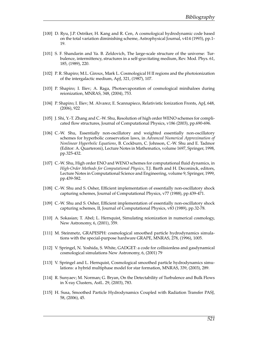- <span id="page-24-6"></span>[100] D. Ryu, J.P. Ostriker, H. Kang and R. Cen, A cosmological hydrodynamic code based on the total variation diminishing scheme, Astrophysical Journal, v414 (1993), pp.1- 19.
- <span id="page-24-9"></span>[101] S. F. Shandarin and Ya. B. Zeldovich, The large-scale structure of the universe: Turbulence, intermittency, structures in a self-gravitating medium, Rev. Mod. Phys. 61, 185, (1989), 220.
- <span id="page-24-10"></span>[102] P. R. Shapiro; M.L. Giroux, Mark L. Cosmological H II regions and the photoionization of the intergalactic medium, ApJ, 321, (1987), 107.
- <span id="page-24-12"></span>[103] P. Shapiro; I. Iliev; A. Raga, Photoevaporation of cosmological minihaloes during reionization, MNRAS, 348, (2004), 753.
- <span id="page-24-14"></span>[104] P. Shapiro; I. Iliev; M. Alvarez; E. Scannapieco, Relativistic Ionization Fronts, ApJ, 648, (2006), 922
- <span id="page-24-8"></span>[105] J. Shi, Y.-T. Zhang and C.-W. Shu, Resolution of high order WENO schemes for complicated flow structures, Journal of Computational Physics, v186 (2003), pp.690-696.
- <span id="page-24-2"></span>[106] C.-W. Shu, Essentially non-oscillatory and weighted essentially non-oscillatory schemes for hyperbolic conservation laws, in *Advanced Numerical Approximation of Nonlinear Hyperbolic Equations*, B. Cockburn, C. Johnson, C.-W. Shu and E. Tadmor (Editor: A. Quarteroni), Lecture Notes in Mathematics, volume 1697, Springer, 1998, pp.325-432.
- <span id="page-24-3"></span>[107] C.-W. Shu, High order ENO and WENO schemes for computational fluid dynamics, in *High-Order Methods for Computational Physics*, T.J. Barth and H. Deconinck, editors, Lecture Notes in Computational Science and Engineering, volume 9, Springer, 1999, pp.439-582.
- <span id="page-24-0"></span>[108] C.-W. Shu and S. Osher, Efficient implementation of essentially non-oscillatory shock capturing schemes, Journal of Computational Physics, v77 (1988), pp.439-471.
- <span id="page-24-1"></span>[109] C.-W. Shu and S. Osher, Efficient implementation of essentially non-oscillatory shock capturing schemes, II, Journal of Computational Physics, v83 (1989), pp.32-78.
- <span id="page-24-11"></span>[110] A. Sokasian; T. Abel; L. Hernquist, Simulating reionization in numerical cosmology, New Astronomy, 6, (2001), 359.
- <span id="page-24-7"></span>[111] M. Steinmetz, GRAPESPH: cosmological smoothed particle hydrodynamics simulations with the special-purpose hardware GRAPE, MNRAS, 278, (1996), 1005.
- <span id="page-24-4"></span>[112] V. Springel, N. Yoshida, S. White, GADGET: a code for collisionless and gasdynamical cosmological simulations New Astronomy, 6, (2001) 79
- <span id="page-24-5"></span>[113] V. Springel and L. Hernquist, Cosmological smoothed particle hydrodynamics simulations: a hybrid multiphase model for star formation, MNRAS, 339, (2003), 289.
- [114] R. Sunyaev; M. Norman; G. Bryan, On the Detectability of Turbulence and Bulk Flows in X-ray Clusters, AstL. 29, (2003), 783.
- <span id="page-24-13"></span>[115] H. Susa, Smoothed Particle Hydrodynamics Coupled with Radiation Transfer PASJ, 58, (2006), 45.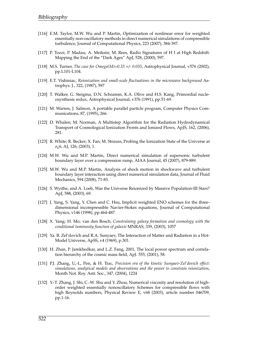- <span id="page-25-6"></span>[116] E.M. Taylor, M.W. Wu and P. Martin, Optimization of nonlinear error for weighted essentially non-oscillatory methods in direct numerical simulations of compressible turbulence, Journal of Computational Physics, 223 (2007), 384-397.
- <span id="page-25-16"></span>[117] P. Tozzi; P. Madau; A. Meiksin; M. Rees, Radio Signatures of H I at High Redshift: Mapping the End of the "Dark Ages" ApJ, 528, (2000), 597.
- <span id="page-25-1"></span>[118] M.S. Turner, *The case for Omega(M)=0.33 +/- 0.035*, Astrophysical Journal, v576 (2002), pp.L101-L104.
- <span id="page-25-11"></span>[119] E.T. Vishiniac, *Reionization and small-scale fluctuations in the microwave background* Astrophys. J., 322, (1987), 597
- <span id="page-25-2"></span>[120] T. Walker, G. Steigma, D.N. Schramm, K.A. Olive and H.S. Kang, Primordial nucleosynthesis redux, Astrophysical Journal, v376 (1991), pp.51-69.
- <span id="page-25-4"></span>[121] M. Warren, J. Salmon, A portable parallel particle program, Computer Physics Communications, 87, (1995), 266.
- <span id="page-25-13"></span>[122] D. Whalen; M. Norman, A Multistep Algorithm for the Radiation Hydrodynamical Transport of Cosmological Ionization Fronts and Ionized Flows, ApJS, 162, (2006), 281.
- <span id="page-25-14"></span>[123] R. White; R. Becker; X. Fan; M. Strauss, Probing the Ionization State of the Universe at z¿6, AJ, 126, (2003), 1.
- <span id="page-25-7"></span>[124] M.W. Wu and M.P. Martin, Direct numerical simulation of supersonic turbulent boundary layer over a compression ramp, AIAA Journal, 45 (2007), 879-889.
- <span id="page-25-8"></span>[125] M.W. Wu and M.P. Martin, Analysis of shock motion in shockwave and turbulent boundary layer interaction using direct numerical simulation data, Journal of Fluid Mechanics, 594 (2008), 71-83.
- <span id="page-25-15"></span>[126] S. Wyithe, and A. Loeb, Was the Universe Reionized by Massive Population-III Stars? ApJ, 588, (2003), 69.
- <span id="page-25-0"></span>[127] J. Yang, S. Yang, Y. Chen and C. Hsu, Implicit weighted ENO schemes for the threedimensional incompressible Navier-Stokes equations, Journal of Computational Physics, v146 (1998), pp.464-487.
- <span id="page-25-10"></span>[128] X. Yang; H. Mo; van den Bosch, *Constraining galaxy formation and cosmology with the conditional luminosity function of galaxie* MNRAS, 339, (2003), 1057
- <span id="page-25-3"></span>[129] Ya. B. Zel'dovich and R.A. Sunyaev, The Interaction of Matter and Radiation in a Hot-Model Universe, ApSS, v4 (1969), p.301.
- <span id="page-25-9"></span>[130] H. Zhan, P. Jamkhedkar, and L.Z. Fang, 2001, The local power spectrum and correlation hierarchy of the cosmic mass field, ApJ. 555, (2001), 58.
- <span id="page-25-12"></span>[131] P.J. Zhang, U,-L, Pen, & H. Trac, *Precision era of the kinetic Sunyaev-Zel'dovich effect: simulations, analytical models and observations and the power to constrain reionization*, Month Not. Roy. Astr. Soc., 347, (2004), 1224
- <span id="page-25-5"></span>[132] Y.-T. Zhang, J. Shi, C.-W. Shu and Y. Zhou, Numerical viscosity and resolution of highorder weighted essentially nonoscillatory Schemes for compressible flows with high Reynolds numbers, Physical Review E, v68 (2003), article number 046709, pp.1-16.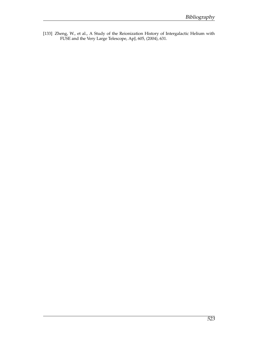<span id="page-26-0"></span>[133] Zheng, W., et al., A Study of the Reionization History of Intergalactic Helium with FUSE and the Very Large Telescope, ApJ, 605, (2004), 631.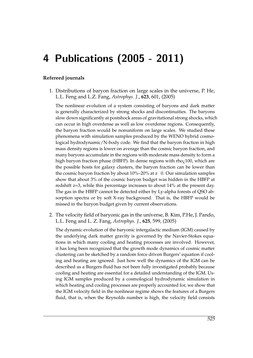# 4 Publications (2005 - 2011)

#### **Refereed journals**

1. Distributions of baryon fraction on large scales in the universe, P. He, L.L. Feng and L.Z. Fang, *Astrophys. J.*, **623**, 601, (2005)

The nonlinear evolution of a system consisting of baryons and dark matter is generally characterized by strong shocks and discontinuities. The baryons slow down significantly at postshock areas of gravitational strong shocks, which can occur in high overdense as well as low overdense regions. Consequently, the baryon fraction would be nonuniform on large scales. We studied these phenomena with simulation samples produced by the WENO hybrid cosmological hydrodynamic/N-body code. We find that the baryon fraction in high mass density regions is lower on average than the cosmic baryon fraction, and many baryons accumulate in the regions with moderate mass density to form a high baryon fraction phase (HBFP). In dense regions with rho<sub>i</sub>100, which are the possible hosts for galaxy clusters, the baryon fraction can be lower than the cosmic baryon fraction by about  $10\% - 20\%$  at z 0. Our simulation samples show that about 3% of the cosmic baryon budget was hidden in the HBFP at redshift z=3, while this percentage increases to about 14% at the present day. The gas in the HBFP cannot be detected either by Ly-alpha forests of QSO absorption spectra or by soft X-ray background. That is, the HBFP would be missed in the baryon budget given by current observations.

2. The velocity field of baryonic gas in the universe, B. Kim, P.He, J. Pando, L.L. Feng and L. Z. Fang, *Astrophys. J.*, **625**, 599, (2005)

The dynamic evolution of the baryonic intergalactic medium (IGM) caused by the underlying dark matter gravity is governed by the Navier-Stokes equations in which many cooling and heating processes are involved. However, it has long been recognized that the growth mode dynamics of cosmic matter clustering can be sketched by a random force driven Burgers' equation if cooling and heating are ignored. Just how well the dynamics of the IGM can be described as a Burgers fluid has not been fully investigated probably because cooling and heating are essential for a detailed understanding of the IGM. Using IGM samples produced by a cosmological hydrodynamic simulation in which heating and cooling processes are properly accounted for, we show that the IGM velocity field in the nonlinear regime shows the features of a Burgers fluid, that is, when the Reynolds number is high, the velocity field consists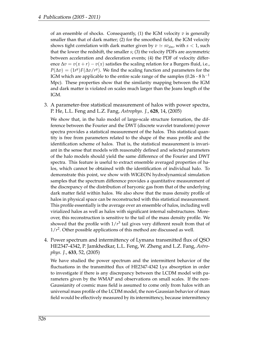of an ensemble of shocks. Consequently, (1) the IGM velocity *v* is generally smaller than that of dark matter; (2) for the smoothed field, the IGM velocity shows tight correlation with dark matter given by  $v \simeq sv_{dm}$ , with  $s < 1$ , such that the lower the redshift, the smaller *s*; (3) the velocity PDFs are asymmetric between acceleration and deceleration events; (4) the PDF of velocity difference  $\Delta v = v(x + r) - v(x)$  satisfies the scaling relation for a Burgers fluid, i.e.,  $P(\Delta v) = (1r^y)F(\Delta v/r^y)$ . We find the scaling function and parameters for the IGM which are applicable to the entire scale range of the samples (0.26 - 8 h<sup>-1</sup> Mpc). These properties show that the similarity mapping between the IGM and dark matter is violated on scales much larger than the Jeans length of the IGM.

3. A parameter-free statistical measurement of halos with power spectra, P. He, L.L. Feng and L.Z. Fang, *Astrophys. J.*, **628**, 14, (2005)

We show that, in the halo model of large-scale structure formation, the difference between the Fourier and the DWT (discrete wavelet transform) power spectra provides a statistical measurement of the halos. This statistical quantity is free from parameters related to the shape of the mass profile and the identification scheme of halos. That is, the statistical measurement is invariant in the sense that models with reasonably defined and selected parameters of the halo models should yield the same difference of the Fourier and DWT spectra. This feature is useful to extract ensemble averaged properties of halos, which cannot be obtained with the identification of individual halo. To demonstrate this point, we show with WIGEON hydrodynamical simulation samples that the spectrum difference provides a quantitative measurement of the discrepancy of the distribution of baryonic gas from that of the underlying dark matter field within halos. We also show that the mass density profile of halos in physical space can be reconstructed with this statistical measurement. This profile essentially is the average over an ensemble of halos, including well virialized halos as well as halos with significant internal substructures. Moreover, this reconstruction is sensitive to the tail of the mass density profile. We showed that the profile with  $1/r^3$  tail gives very different result from that of  $1/r<sup>2</sup>$ . Other possible applications of this method are discussed as well.

4. Power spectrum and intermittency of Lyman*α* transmitted flux of QSO HE2347-4342, P. Jamkhedkar, L.L. Feng, W. Zheng and L.Z. Fang, *Astrophys. J.*, **633**, 52, (2005)

We have studied the power spectrum and the intermittent behavior of the fluctuations in the transmitted flux of HE2347-4342 Ly*α* absorption in order to investigate if there is any discrepancy between the LCDM model with parameters given by the WMAP and observations on small scales. If the non-Gaussianity of cosmic mass field is assumed to come only from halos with an universal mass profile of the LCDM model, the non-Gaussian behavior of mass field would be effectively measured by its intermittency, because intermittency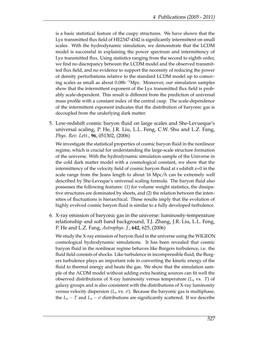is a basic statistical feature of the cuspy structures. We have shown that the Ly*α* transmitted flux field of HE2347-4342 is significantly intermittent on small scales. With the hydrodynamic simulation, we demonstrate that the LCDM model is successful in explaining the power spectrum and intermittency of Ly*α* transmitted flux. Using statistics ranging from the second to eighth order, we find no discrepancy between the LCDM model and the observed transmitted flux field, and no evidence to support the necessity of reducing the power of density perturbations relative to the standard LCDM model up to comoving scales as small as about 0.08h−1Mpc. Moreover, our simulation samples show that the intermittent exponent of the Ly*α* transmitted flux field is probably scale-dependent. This result is different from the prediction of universal mass profile with a constant index of the central cusp. The scale-dependence of the intermittent exponent indicates that the distribution of baryonic gas is decoupled from the underlying dark matter.

5. Low-redshift cosmic baryon fluid on large scales and She-Levueque's universal scaling, P. He, J.R. Liu, L.L. Feng, C.W. Shu and L.Z. Fang, *Phys. Rev. Lett.*, **96**, 051302, (2006)

We investigate the statistical properties of cosmic baryon fluid in the nonlinear regime, which is crucial for understanding the large-scale structure formation of the universe. With the hydrodynamic simulation sample of the Universe in the cold dark matter model with a cosmological constant, we show that the intermittency of the velocity field of cosmic baryon fluid at r edshift z=0 in the scale range from the Jeans length to about 16 Mpc/h can be extremely well described by She-Leveque's universal scaling formula. The baryon fluid also possesses the following features: (1) for volume weight statistics, the dissipative structures are dominated by sheets, and (2) the relation between the intensities of fluctuations is hierarchical. These results imply that the evolution of highly evolved cosmic baryon fluid is similar to a fully developed turbulence.

6. X-ray emission of baryonic gas in the universe: luminosity-temperature relationship and soft band background, T.J. Zhang, J.R. Liu, L.L. Feng, P. He and L.Z. Fang, *Astrophys. J.*, **642**, 625, (2006)

We study the X-ray emission of baryon fluid in the universe using the WIGEON cosmological hydrodynamic simulations. It has been revealed that cosmic baryon fluid in the nonlinear regime behaves like Burgers turbulence, i.e. the fluid field consists of shocks. Like turbulence in incompressible fluid, the Burgers turbulence plays an important role in converting the kinetic energy of the fluid to thermal energy and heats the gas. We show that the simulation sample of the ΛCDM model without adding extra heating sources can fit well the observed distributions of X-ray luminosity versus temperature  $(L_x \text{ vs. } T)$  of galaxy groups and is also consistent with the distributions of X-ray luminosity versus velocity dispersion ( $L_x$  vs.  $\sigma$ ). Because the baryonic gas is multiphase, the  $L_x - T$  and  $L_x - \sigma$  distributions are significantly scattered. If we describe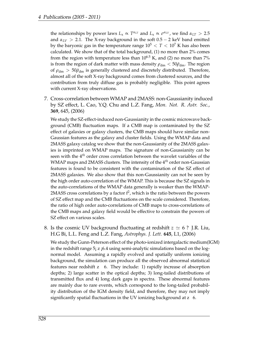the relationships by power laws  $L_x \propto T^{\alpha_{LT}}$  and  $L_x \propto \sigma^{\alpha_{LV}}$ , we find  $\alpha_{LT} > 2.5$ and  $\alpha_{LV} > 2.1$ . The X-ray background in the soft  $0.5 - 2$  keV band emitted by the baryonic gas in the temperature range  $10^5 < T < 10^7$  K has also been calculated. We show that of the total background, (1) no more than 2% comes from the region with temperature less than  $10^{6.5}$  K, and (2) no more than  $7\%$ is from the region of dark matter with mass density  $\rho_{dm} < 50 \bar{\rho}_{dm}$ . The region of  $\rho_{dm}$  > 50 $\bar{\rho}_{dm}$  is generally clustered and discretely distributed. Therefore, almost all of the soft X-ray background comes from clustered sources, and the contribution from truly diffuse gas is probably negligible. This point agrees with current X-ray observations.

7. Cross-correlation between WMAP and 2MASS: non-Gaussianity induced by SZ effect, L. Cao, Y.Q. Chu and L.Z. Fang, *Mon. Not. R. Astr. Soc.*, **369**, 645, (2006)

We study the SZ-effect-induced non-Gaussianity in the cosmic microwave background (CMB) fluctuation maps. If a CMB map is contaminated by the SZ effect of galaxies or galaxy clusters, the CMB maps should have similar non-Gaussian features as the galaxy and cluster fields. Using the WMAP data and 2MASS galaxy catalog we show that the non-Gaussianity of the 2MASS galaxies is imprinted on WMAP maps. The signature of non-Gaussianity can be seen with the 4*th* order cross correlation between the wavelet variables of the WMAP maps and 2MASS clusters. The intensity of the 4*th* order non-Gaussian features is found to be consistent with the contamination of the SZ effect of 2MASS galaxies. We also show that this non-Gaussianity can not be seen by the high order auto-correlation of the WMAP. This is because the SZ signals in the auto-correlations of the WMAP data generally is weaker than the WMAP-2MASS cross correlations by a factor  $f^2$ , which is the ratio between the powers of SZ effect map and the CMB fluctuations on the scale considered. Therefore, the ratio of high order auto-correlations of CMB maps to cross-correlations of the CMB maps and galaxy field would be effective to constrain the powers of SZ effect on various scales.

8. Is the cosmic UV background fluctuating at redshift  $z \approx 6$  ? J.R. Liu, H.G Bi, L.L. Feng and L.Z. Fang, *Astrophys. J. Lett.* **645**, L1, (2006)

We study the Gunn-Peterson effect of the photo-ionized intergalactic medium(IGM) in the redshift range 5¡ z ¡6.4 using semi-analytic simulations based on the lognormal model. Assuming a rapidly evolved and spatially uniform ionizing background, the simulation can produce all the observed abnormal statistical features near redshift z 6. They include: 1) rapidly increase of absorption depths; 2) large scatter in the optical depths; 3) long-tailed distributions of transmitted flux and 4) long dark gaps in spectra. These abnormal features are mainly due to rare events, which correspond to the long-tailed probability distribution of the IGM density field, and therefore, they may not imply significantly spatial fluctuations in the UV ionizing background at z 6.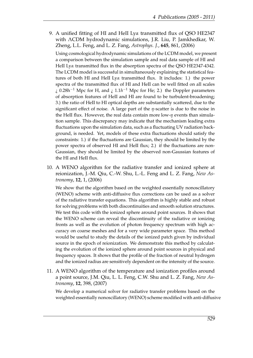9. A unified fitting of HI and HeII Ly*α* transmitted flux of QSO HE2347 with ΛCDM hydrodynamic simulations, J.R. Liu, P. Jamkhedkar, W. Zheng, L.L. Feng, and L. Z. Fang, *Astrophys. J.*, **645**, 861, (2006)

Using cosmological hydrodynamic simulations of the LCDM model, we present a comparison between the simulation sample and real data sample of HI and HeII Ly*α* transmitted flux in the absorption spectra of the QSO HE2347-4342. The LCDM model is successful in simultaneously explaining the statistical features of both HI and HeII Ly*α* transmitted flux. It includes: 1.) the power spectra of the transmitted flux of HI and HeII can be well fitted on all scales ¿ 0.28h−<sup>1</sup> Mpc for H, and ¿ 1.1*h* <sup>−</sup><sup>1</sup> Mpc for He; 2.) the Doppler parameters of absorption features of HeII and HI are found to be turbulent-broadening; 3.) the ratio of HeII to HI optical depths are substantially scattered, due to the significant effect of noise. A large part of the *η*-scatter is due to the noise in the HeII flux. However, the real data contain more low-*η* events than simulation sample. This discrepancy may indicate that the mechanism leading extra fluctuations upon the simulation data, such as a fluctuating UV radiation background, is needed. Yet, models of these extra fluctuations should satisfy the constraints: 1.) if the fluctuations are Gaussian, they should be limited by the power spectra of observed HI and HeII flux; 2.) if the fluctuations are non-Gaussian, they should be limited by the observed non-Gaussian features of the HI and HeII flux.

10. A WENO algorithm for the radiative transfer and ionized sphere at reionization, J.-M. Qiu, C.-W. Shu, L.-L. Feng and L. Z. Fang, *New Astronomy*, **12**, 1, (2006)

We show that the algorithm based on the weighted essentially nonoscillatory (WENO) scheme with anti-diffusive flux corrections can be used as a solver of the radiative transfer equations. This algorithm is highly stable and robust for solving problems with both discontinuities and smooth solution structures. We test this code with the ionized sphere around point sources. It shows that the WENO scheme can reveal the discontinuity of the radiative or ionizing fronts as well as the evolution of photon frequency spectrum with high accuracy on coarse meshes and for a very wide parameter space. This method would be useful to study the details of the ionized patch given by individual source in the epoch of reionization. We demonstrate this method by calculating the evolution of the ionized sphere around point sources in physical and frequency spaces. It shows that the profile of the fraction of neutral hydrogen and the ionized radius are sensitively dependent on the intensity of the source.

11. A WENO algorithm of the temperature and ionization profiles around a point source, J.M. Qiu, L. L. Feng, C.W. Shu and L. Z. Fang, *New Astronomy*, **12**, 398, (2007)

We develop a numerical solver for radiative transfer problems based on the weighted essentially nonoscillatory (WENO) scheme modified with anti-diffusive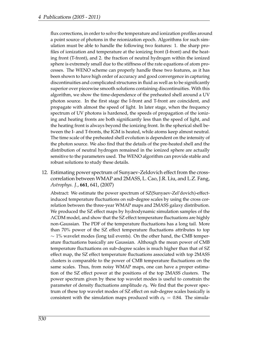flux corrections, in order to solve the temperature and ionization profiles around a point source of photons in the reionization epoch. Algorithms for such simulation must be able to handle the following two features: 1. the sharp profiles of ionization and temperature at the ionizing front (I-front) and the heating front (T-front), and 2. the fraction of neutral hydrogen within the ionized sphere is extremely small due to the stiffness of the rate equations of atom processes. The WENO scheme can properly handle these two features, as it has been shown to have high order of accuracy and good convergence in capturing discontinuities and complicated structures in fluid as well as to be significantly superior over piecewise smooth solutions containing discontinuities. With this algorithm, we show the time-dependence of the preheated shell around a UV photon source. In the first stage the I-front and T-front are coincident, and propagate with almost the speed of light. In later stage, when the frequency spectrum of UV photons is hardened, the speeds of propagation of the ionizing and heating fronts are both significantly less than the speed of light, and the heating front is always beyond the ionizing front. In the spherical shell between the I- and T-fronts, the IGM is heated, while atoms keep almost neutral. The time scale of the preheated shell evolution is dependent on the intensity of the photon source. We also find that the details of the pre-heated shell and the distribution of neutral hydrogen remained in the ionized sphere are actually sensitive to the parameters used. The WENO algorithm can provide stable and robust solutions to study these details.

12. Estimating power spectrum of Sunyaev-Zeldovich effect from the crosscorrelation between WMAP and 2MASS, L. Cao, J.R. Liu, and L.Z. Fang, *Astrophys. J.*, **661**, 641, (2007)

Abstract: We estimate the power spectrum of SZ(Sunyaev-Zel'dovich)-effectinduced temperature fluctuations on sub-degree scales by using the cross correlation between the three-year WMAP maps and 2MASS galaxy distribution. We produced the SZ effect maps by hydrodynamic simulation samples of the ΛCDM model, and show that the SZ effect temperature fluctuations are highly non-Gaussian. The PDF of the temperature fluctuations has a long tail. More than 70% power of the SZ effect temperature fluctuations attributes to top  $\sim$  1% wavelet modes (long tail events). On the other hand, the CMB temperature fluctuations basically are Gaussian. Although the mean power of CMB temperature fluctuations on sub-degree scales is much higher than that of SZ effect map, the SZ effect temperature fluctuations associated with top 2MASS clusters is comparable to the power of CMB temperature fluctuations on the same scales. Thus, from noisy WMAP maps, one can have a proper estimation of the SZ effect power at the positions of the top 2MASS clusters. The power spectrum given by these top wavelet modes is useful to constrain the parameter of density fluctuations amplitude  $\sigma_8$ . We find that the power spectrum of these top wavelet modes of SZ effect on sub-degree scales basically is consistent with the simulation maps produced with  $\sigma_8 = 0.84$ . The simula-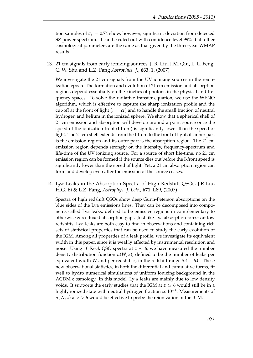tion samples of  $\sigma_8 = 0.74$  show, however, significant deviation from detected SZ power spectrum. It can be ruled out with confidence level 99% if all other cosmological parameters are the same as that given by the three-year WMAP results.

13. 21 cm signals from early ionizing sources, J. R. Liu, J.M. Qiu, L. L. Feng, C. W. Shu and L.Z. Fang *Astrophys. J.*, **663**, 1, (2007)

We investigate the 21 cm signals from the UV ionizing sources in the reionization epoch. The formation and evolution of 21 cm emission and absorption regions depend essentially on the kinetics of photons in the physical and frequency spaces. To solve the radiative transfer equation, we use the WENO algorithm, which is effective to capture the sharp ionization profile and the cut-off at the front of light  $(r = ct)$  and to handle the small fraction of neutral hydrogen and helium in the ionized sphere. We show that a spherical shell of 21 cm emission and absorption will develop around a point source once the speed of the ionization front (I-front) is significantly lower than the speed of light. The 21 cm shell extends from the I-front to the front of light; its inner part is the emission region and its outer part is the absorption region. The 21 cm emission region depends strongly on the intensity, frequency-spectrum and life-time of the UV ionizing source. For a source of short life-time, no 21 cm emission region can be formed if the source dies out before the I-front speed is significantly lower than the speed of light. Yet, a 21 cm absorption region can form and develop even after the emission of the source ceases.

14. Ly*α* Leaks in the Absorption Spectra of High Redshift QSOs, J.R Liu, H.G. Bi & L.Z. Fang, *Astrophys. J. Lett.*, **671**, L89, (2007)

Spectra of high redshift QSOs show deep Gunn-Peterson absorptions on the blue sides of the Lya emissions lines. They can be decomposed into components called Lya leaks, defined to be emissive regions in complementary to otherwise zero-fluxed absorption gaps. Just like Lya absorption forests at low redshifts, Lya leaks are both easy to find in observations and containing rich sets of statistical properties that can be used to study the early evolution of the IGM. Among all properties of a leak profile, we investigate its equivalent width in this paper, since it is weakly affected by instrumental resolution and noise. Using 10 Keck QSO spectra at *z* ∼ 6, we have measured the number density distribution function  $n(W, z)$ , defined to be the number of leaks per equivalent width *W* and per redshift *z*, in the redshift range  $5.4 - 6.0$ . These new observational statistics, in both the differential and cumulative forms, fit well to hydro numerical simulations of uniform ionizing background in the ΛCDM c osmology. In this model, Ly *α* leaks are mainly due to low density voids. It supports the early studies that the IGM at  $z \simeq 6$  would still be in a highly ionized state with neutral hydrogen fraction  $\simeq 10^{-4}.$  Measurements of  $n(W, z)$  at  $z > 6$  would be effective to probe the reionization of the IGM.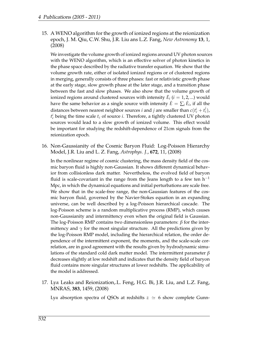15. A WENO algorithm for the growth of ionized regions at the reionization epoch, J. M. Qiu, C.W. Shu, J.R. Liu ans L.Z. Fang, *New Astronomy* **13**, 1, (2008)

We investigate the volume growth of ionized regions around UV photon sources with the WENO algorithm, which is an effective solver of photon kinetics in the phase space described by the radiative transfer equation. We show that the volume growth rate, either of isolated ionized regions or of clustered regions in merging, generally consists of three phases: fast or relativistic growth phase at the early stage, slow growth phase at the later stage, and a transition phase between the fast and slow phases. We also show that the volume growth of ionized regions around clustered sources with intensity  $\dot{E}_i$   $(i = 1, 2, ...)$  would have the same behavior as a single source with intensity  $\dot{E} = \sum_i \dot{E}_i$ , if all the distances between nearest neighbor sources *i* and *j* are smaller than  $c(t_c^i + t_c^j)$ ,  $t_c^i$  being the time scale  $t_c$  of source *i*. Therefore, a tightly clustered UV photon sources would lead to a slow growth of ionized volume. This effect would be important for studying the redshift-dependence of 21cm signals from the reionization epoch.

16. Non-Gaussianity of the Cosmic Baryon Fluid: Log-Poisson Hierarchy Model, J.R. Liu and L. Z. Fang, *Astrophys. J.*, **672**, 11, (2008)

In the nonlinear regime of cosmic clustering, the mass density field of the cosmic baryon fluid is highly non-Gaussian. It shows different dynamical behavior from collisionless dark matter. Nevertheless, the evolved field of baryon fluid is scale-covariant in the range from the Jeans length to a few ten  $h^{-1}$ Mpc, in which the dynamical equations and initial perturbations are scale free. We show that in the scale-free range, the non-Gaussian features of the cosmic baryon fluid, governed by the Navier-Stokes equation in an expanding universe, can be well described by a log-Poisson hierarchical cascade. The log-Poisson scheme is a random multiplicative process (RMP), which causes non-Gaussianity and intermittency even when the original field is Gaussian. The log-Poisson RMP contains two dimensionless parameters: *β* for the intermittency and  $\gamma$  for the most singular structure. All the predictions given by the log-Poisson RMP model, including the hierarchical relation, the order dependence of the intermittent exponent, the moments, and the scale-scale correlation, are in good agreement with the results given by hydrodynamic simulations of the standard cold dark matter model. The intermittent parameter *β* decreases slightly at low redshift and indicates that the density field of baryon fluid contains more singular structures at lower redshifts. The applicability of the model is addressed.

17. Ly*α* Leaks and Reionization,.L. Feng, H.G. Bi, J.R. Liu, and L.Z. Fang, MNRAS, **383**, 1459, (2008)

Ly*α* absorption spectra of QSOs at redshifts  $z \approx 6$  show complete Gunn-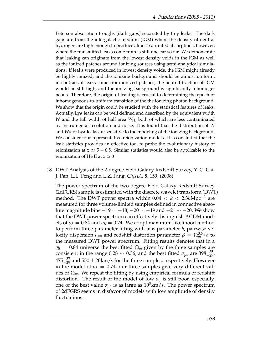Peterson absorption troughs (dark gaps) separated by tiny leaks. The dark gaps are from the intergalactic medium (IGM) where the density of neutral hydrogen are high enough to produce almost saturated absorptions, however, where the transmitted leaks come from is still unclear so far. We demonstrate that leaking can originate from the lowest density voids in the IGM as well as the ionized patches around ionizing sources using semi-analytical simulations. If leaks were produced in lowest density voids, the IGM might already be highly ionized, and the ionizing background should be almost uniform; in contrast, if leaks come from ionized patches, the neutral fraction of IGM would be still high, and the ionizing background is significantly inhomogeneous. Therefore, the origin of leaking is crucial to determining the epoch of inhomogeneous-to-uniform transition of the the ionizing photon background. We show that the origin could be studied with the statistical features of leaks. Actually, Ly*α* leaks can be well defined and described by the equivalent width *W* and the full width of half area *W*<sub>H</sub>, both of which are less contaminated by instrumental resolution and noise. It is found that the distribution of *W* and *W*<sub>H</sub> of Ly*α* leaks are sensitive to the modeling of the ionizing background. We consider four representative reionization models. It is concluded that the leak statistics provides an effective tool to probe the evolutionary history of reionization at  $z \approx 5 - 6.5$ . Similar statistics would also be applicable to the reionization of He II at  $z \approx 3$ 

18. DWT Analysis of the 2-degree Field Galaxy Redshift Survey, Y.-C. Cai, J. Pan, L.L. Feng and L.Z. Fang, *ChJAA*, **8**, 159, (2008)

The power spectrum of the two-degree Field Galaxy Redshift Survey (2dFGRS) sample is estimated with the discrete wavelet transform (DWT) method. The DWT power spectra within 0.04 < *k* < 2.3*h*Mpc−<sup>1</sup> are measured for three volume-limited samples defined in connective absolute magnitude bins  $-19 \sim -18$ ,  $-20 \sim -19$  and  $-21 \sim -20$ . We show that the DWT power spectrum can effectively distinguish ΛCDM models of  $\sigma_8 = 0.84$  and  $\sigma_8 = 0.74$ . We adopt maximum likelihood method to perform three-parameter fitting with bias parameter *b*, pairwise velocity dispersion  $\sigma_{pv}$  and redshift distortion parameter  $\beta \, = \, \Omega_m^{0.6}/b$  to the measured DWT power spectrum. Fitting results denotes that in a  $\sigma_8$  = 0.84 universe the best fitted  $\Omega_m$  given by the three samples are consistent in the range 0.28  $\sim$  0.36, and the best fitted  $\sigma_{pv}$  are 398<sup>+35</sup><sub>-27</sub>,  $475^{+37}_{-29}$  and  $550 \pm 20$ km/s for the three samples, respectively. However in the model of  $\sigma_8 = 0.74$ , our three samples give very different values of  $\Omega_m$ . We repeat the fitting by using empirical formula of redshift distortion. The result of the model of low  $\sigma_8$  is still poor, especially, one of the best value  $\sigma_{pv}$  is as large as  $10^3$ km/s. The power spectrum of 2dFGRS seems in disfavor of models with low amplitude of density fluctuations.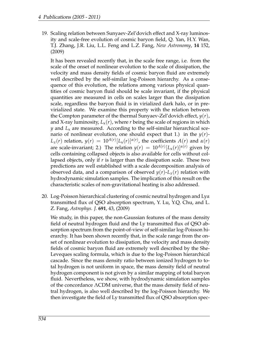19. Scaling relation between Sunyaev-Zel'dovich effect and X-ray luminosity and scale-free evolution of cosmic baryon field, Q. Yan, H.Y. Wan, T.J. Zhang, J.R. Liu, L.L. Feng and L.Z. Fang, *New Astronomy*, **14** 152, (2009)

It has been revealed recently that, in the scale free range, i.e. from the scale of the onset of nonlinear evolution to the scale of dissipation, the velocity and mass density fields of cosmic baryon fluid are extremely well described by the self-similar log-Poisson hierarchy. As a consequence of this evolution, the relations among various physical quantities of cosmic baryon fluid should be scale invariant, if the physical quantities are measured in cells on scales larger than the dissipation scale, regardless the baryon fluid is in virialized dark halo, or in previrialized state. We examine this property with the relation between the Compton parameter of the thermal Sunyaev-Zel'dovich effect, *y*(*r*), and X-ray luminosity,  $L_x(r)$ , where *r* being the scale of regions in which *y* and *L*<sup>x</sup> are measured. According to the self-similar hierarchical scenario of nonlinear evolution, one should expect that 1.) in the  $y(r)$ -*L*<sub>*x*</sub>(*r*) relation,  $y(r) = 10^{A(r)} [L_x(r)]^{\alpha(r)}$ , the coefficients  $A(r)$  and  $α(r)$ are scale-invariant; 2.) The relation  $y(r) = 10^{A(r)} [L_{\rm x}(r)]^{\alpha(r)}$  given by cells containing collapsed objects is also available for cells without collapsed objects, only if *r* is larger than the dissipation scale. These two predictions are well established with a scale decomposition analysis of observed data, and a comparison of observed  $y(r)$ - $L_x(r)$  relation with hydrodynamic simulation samples. The implication of this result on the characteristic scales of non-gravitational heating is also addressed.

20. Log-Poisson hierarchical clustering of cosmic neutral hydrogen and Ly*α* transmitted flux of QSO absorption spectrum, Y. Lu, Y.Q. Chu, and L. Z. Fang, *Astrophys. J.* **691**, 43, (2009)

We study, in this paper, the non-Gaussian features of the mass density field of neutral hydrogen fluid and the Ly transmitted flux of QSO absorption spectrum from the point-of-view of self-similar log-Poisson hierarchy. It has been shown recently that, in the scale range from the onset of nonlinear evolution to dissipation, the velocity and mass density fields of cosmic baryon fluid are extremely well described by the She-Leveques scaling formula, which is due to the log-Poisson hierarchical cascade. Since the mass density ratio between ionized hydrogen to total hydrogen is not uniform in space, the mass density field of neutral hydrogen component is not given by a similar mapping of total baryon fluid. Nevertheless, we show, with hydrodynamic simulation samples of the concordance ΛCDM universe, that the mass density field of neutral hydrogen, is also well described by the log-Poisson hierarchy. We then investigate the field of Ly transmitted flux of QSO absorption spec-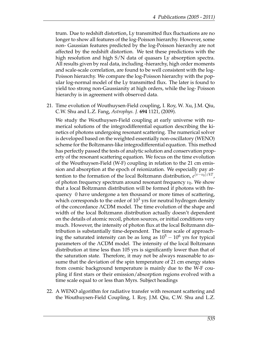trum. Due to redshift distortion, Ly transmitted flux fluctuations are no longer to show all features of the log-Poisson hierarchy. However, some non- Gaussian features predicted by the log-Poisson hierarchy are not affected by the redshift distortion. We test these predictions with the high resolution and high S/N data of quasars Ly absorption spectra. All results given by real data, including -hierarchy, high order moments and scale-scale correlation, are found to be well consistent with the log-Poisson hierarchy. We compare the log-Poisson hierarchy with the popular log-normal model of the Ly transmitted flux. The later is found to yield too strong non-Gaussianity at high orders, while the log- Poisson hierarchy is in agreement with observed data.

21. Time evolution of Wouthuysen-Field coupling, I. Roy, W. Xu, J.M. Qiu, C.W. Shu and L.Z. Fang, *Astrophys. J.* **694** 1121, (2009).

We study the Wouthuysen-Field coupling at early universe with numerical solutions of the integrodifferential equation describing the kinetics of photons undergoing resonant scattering. The numerical solver is developed based on the weighted essentially non-oscillatory (WENO) scheme for the Boltzmann-like integrodifferential equation. This method has perfectly passed the tests of analytic solution and conservation property of the resonant scattering equation. We focus on the time evolution of the Wouthuysen-Field (W-F) coupling in relation to the 21 cm emission and absorption at the epoch of reionization. We especially pay attention to the formation of the local Boltzmann distribution, *e* (*ν*−*ν*0)/*kT* , of photon frequency spectrum around resonant frequency *ν*<sub>0</sub>. We show that a local Boltzmann distribution will be formed if photons with frequency 0 have undergone a ten thousand or more times of scattering, which corresponds to the order of  $10<sup>3</sup>$  yrs for neutral hydrogen density of the concordance ΛCDM model. The time evolution of the shape and width of the local Boltzmann distribution actually doesn't dependent on the details of atomic recoil, photon sources, or initial conditions very much. However, the intensity of photon flux at the local Boltzmann distribution is substantially time-dependent. The time scale of approaching the saturated intensity can be as long as  $10^5 - 10^6$  yrs for typical parameters of the ΛCDM model. The intensity of the local Boltzmann distribution at time less than 105 yrs is significantly lower than that of the saturation state. Therefore, it may not be always reasonable to assume that the deviation of the spin temperature of 21 cm energy states from cosmic background temperature is mainly due to the W-F coupling if first stars or their emission/absorption regions evolved with a time scale equal to or less than Myrs. Subject headings

22. A WENO algorithm for radiative transfer with resonant scattering and the Wouthuysen-Field Coupling, I. Roy, J.M. Qiu, C.W. Shu and L.Z.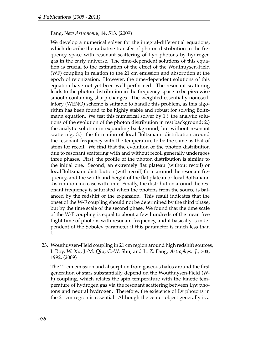Fang, *New Astronomy*, **14**, 513, (2009)

We develop a numerical solver for the integral-differential equations, which describe the radiative transfer of photon distribution in the frequency space with resonant scattering of Ly*α* photons by hydrogen gas in the early universe. The time-dependent solutions of this equation is crucial to the estimation of the effect of the Wouthuysen-Field (WF) coupling in relation to the 21 cm emission and absorption at the epoch of reionization. However, the time-dependent solutions of this equation have not yet been well performed. The resonant scattering leads to the photon distribution in the frequency space to be piecewise smooth containing sharp changes. The weighted essentially nonoscillatory (WENO) scheme is suitable to handle this problem, as this algorithm has been found to be highly stable and robust for solving Boltzmann equation. We test this numerical solver by 1.) the analytic solutions of the evolution of the photon distribution in rest background; 2.) the analytic solution in expanding background, but without resonant scattering; 3.) the formation of local Boltzmann distribution around the resonant frequency with the temperature to be the same as that of atom for recoil. We find that the evolution of the photon distribution due to resonant scattering with and without recoil generally undergoes three phases. First, the profile of the photon distribution is similar to the initial one. Second, an extremely flat plateau (without recoil) or local Boltzmann distribution (with recoil) form around the resonant frequency, and the width and height of the flat plateau or local Boltzmann distribution increase with time. Finally, the distribution around the resonant frequency is saturated when the photons from the source is balanced by the redshift of the expansion. This result indicates that the onset of the W-F coupling should not be determined by the third phase, but by the time scale of the second phase. We found that the time scale of the W-F coupling is equal to about a few hundreds of the mean free flight time of photons with resonant frequency, and it basically is independent of the Sobolev parameter if this parameter is much less than 1.

23. Wouthuysen-Field coupling in 21 cm region around high redshift sources, I. Roy, W. Xu, J.-M. Qiu, C.-W. Shu, and L. Z. Fang, *Astrophys. J.*, **703**, 1992, (2009)

The 21 cm emission and absorption from gaseous halos around the first generation of stars substantially depend on the Wouthuysen-Field (W-F) coupling, which relates the spin temperature with the kinetic temperature of hydrogen gas via the resonant scattering between Ly*α* photons and neutral hydrogen. Therefore, the existence of Ly photons in the 21 cm region is essential. Although the center object generally is a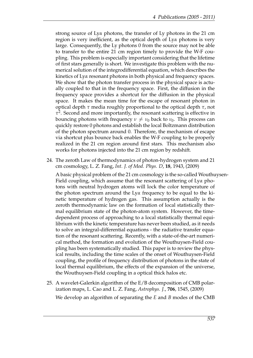strong source of Ly*α* photons, the transfer of Ly photons in the 21 cm region is very inefficient, as the optical depth of Ly*α* photons is very large. Consequently, the Ly photons 0 from the source may not be able to transfer to the entire 21 cm region timely to provide the W-F coupling. This problem is especially important considering that the lifetime of first stars generally is short. We investigate this problem with the numerical solution of the integrodifferential equation, which describes the kinetics of Ly*α* resonant photons in both physical and frequency spaces. We show that the photon transfer process in the physical space is actually coupled to that in the frequency space. First, the diffusion in the frequency space provides a shortcut for the diffusion in the physical space. It makes the mean time for the escape of resonant photon in optical depth *τ* media roughly proportional to the optical depth *τ*, not *τ* 2 . Second and more importantly, the resonant scattering is effective in bouncing photons with frequency  $\nu \neq \nu_0$  back to  $\nu_0$ . This process can quickly restore 0 photons and establish the local Boltzmann distribution of the photon spectrum around 0. Therefore, the mechanism of escape via shortcut plus bounce back enables the W-F coupling to be properly realized in the 21 cm region around first stars. This mechanism also works for photons injected into the 21 cm region by redshift.

24. The zeroth Law of thermodynamics of photon-hydrogen system and 21 cm cosmology, L. Z. Fang, *Int. J. of Mod. Phys. D*, **18**, 1943, (2009)

A basic physical problem of the 21 cm cosmology is the so-called Wouthuysen-Field coupling, which assume that the resonant scattering of Ly*α* photons with neutral hydrogen atoms will lock the color temperature of the photon spectrum around the Ly*α* frequency to be equal to the kinetic temperature of hydrogen gas. This assumption actually is the zeroth thermodynamic law on the formation of local statistically thermal equilibrium state of the photon-atom system. However, the timedependent process of approaching to a local statistically thermal equilibrium with the kinetic temperature has never been studied, as it needs to solve an integral-differential equations - the radiative transfer equation of the resonant scattering. Recently, with a state-of-the-art numerical method, the formation and evolution of the Wouthuysen-Field coupling has been systematically studied. This paper is to review the physical results, including the time scales of the onset of Wouthuysen-Field coupling, the profile of frequency distribution of photons in the state of local thermal equilibrium, the effects of the expansion of the universe, the Wouthuysen-Field coupling in a optical thick halos etc.

25. A wavelet-Galerkin algorithm of the E/B decomposition of CMB polarization maps, L. Cao and L. Z. Fang, *Astrophys. J.*, **706**, 1545, (2009) We develop an algorithm of separating the *E* and *B* modes of the CMB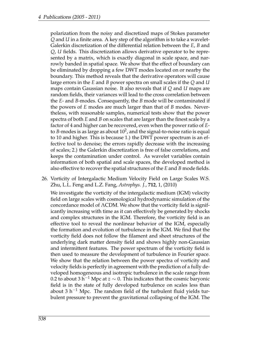polarization from the noisy and discretized maps of Stokes parameter *Q* and *U* in a finite area. A key step of the algorithm is to take a wavelet-Galerkin discretization of the differential relation between the *E*, *B* and *Q*, *U* fields. This discretization allows derivative operator to be represented by a matrix, which is exactly diagonal in scale space, and narrowly banded in spatial space. We show that the effect of boundary can be eliminated by dropping a few DWT modes located on or nearby the boundary. This method reveals that the derivative operators will cause large errors in the *E* and *B* power spectra on small scales if the *Q* and *U* maps contain Gaussian noise. It also reveals that if *Q* and *U* maps are random fields, their variances will lead to the cross correlation between the *E*- and *B*-modes. Consequently, the *B* mode will be contaminated if the powers of *E* modes are much larger than that of *B* modes. Nevertheless, with reasonable samples, numerical tests show that the power spectra of both *E* and *B* on scales that are larger than the finest scale by a factor of 4 and higher can be recovered, even when the power ratio of *E*to *B*-modes is as large as about  $10^2$ , and the signal-to-noise ratio is equal to 10 and higher. This is because 1.) the DWT power spectrum is an effective tool to denoise; the errors rapidly decrease with the increasing of scales; 2.) the Galerkin discretization is free of false correlations, and keeps the contamination under control. As wavelet variables contain information of both spatial and scale spaces, the developed method is also effective to recover the spatial structures of the *E* and *B* mode fields.

26. Vorticity of Intergalactic Medium Velocity Field on Large Scales W.S. Zhu, L.L. Feng and L.Z. Fang, *Astrophys. J.*, **712**, 1, (2010)

We investigate the vorticity of the intergalactic medium (IGM) velocity field on large scales with cosmological hydrodynamic simulation of the concordance model of ΛCDM. We show that the vorticity field is significantly increasing with time as it can effectively be generated by shocks and complex structures in the IGM. Therefore, the vorticity field is an effective tool to reveal the nonlinear behavior of the IGM, especially the formation and evolution of turbulence in the IGM. We find that the vorticity field does not follow the filament and sheet structures of the underlying dark matter density field and shows highly non-Gaussian and intermittent features. The power spectrum of the vorticity field is then used to measure the development of turbulence in Fourier space. We show that the relation between the power spectra of vorticity and velocity fields is perfectly in agreement with the prediction of a fully developed homogeneous and isotropic turbulence in the scale range from 0.2 to about 3 h<sup>-1</sup> Mpc at  $z \sim 0$ . This indicates that the cosmic baryonic field is in the state of fully developed turbulence on scales less than about 3 h<sup>-1</sup> Mpc. The random field of the turbulent fluid yields turbulent pressure to prevent the gravitational collapsing of the IGM. The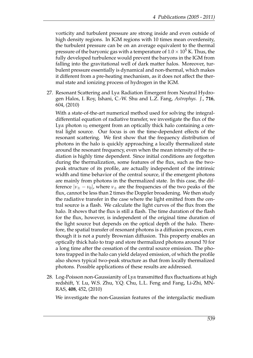vorticity and turbulent pressure are strong inside and even outside of high density regions. In IGM regions with 10 times mean overdensity, the turbulent pressure can be on an average equivalent to the thermal pressure of the baryonic gas with a temperature of  $1.0 \times 10^5$  K. Thus, the fully developed turbulence would prevent the baryons in the IGM from falling into the gravitational well of dark matter halos. Moreover, turbulent pressure essentially is dynamical and non-thermal, which makes it different from a pre-heating mechanism, as it does not affect the thermal state and ionizing process of hydrogen in the IGM.

27. Resonant Scattering and Ly*α* Radiation Emergent from Neutral Hydrogen Halos, I. Roy, Ishani, C.-W. Shu and L.Z. Fang, *Astrophys. J.*, **716**, 604, (2010)

With a state-of-the-art numerical method used for solving the integraldifferential equation of radiative transfer, we investigate the flux of the Ly*α* photon  $ν_0$  emergent from an optically thick halo containing a central light source. Our focus is on the time-dependent effects of the resonant scattering. We first show that the frequency distribution of photons in the halo is quickly approaching a locally thermalized state around the resonant frequency, even when the mean intensity of the radiation is highly time dependent. Since initial conditions are forgotten during the thermalization, some features of the flux, such as the twopeak structure of its profile, are actually independent of the intrinsic width and time behavior of the central source, if the emergent photons are mainly from photons in the thermalized state. In this case, the difference  $|\nu_{\pm} - \nu_0|$ , where  $\nu_{\pm}$  are the frequencies of the two peaks of the flux, cannot be less than 2 times the Doppler broadening. We then study the radiative transfer in the case where the light emitted from the central source is a flash. We calculate the light curves of the flux from the halo. It shows that the flux is still a flash. The time duration of the flash for the flux, however, is independent of the original time duration of the light source but depends on the optical depth of the halo. Therefore, the spatial transfer of resonant photons is a diffusion process, even though it is not a purely Brownian diffusion. This property enables an optically thick halo to trap and store thermalized photons around ?0 for a long time after the cessation of the central source emission. The photons trapped in the halo can yield delayed emission, of which the profile also shows typical two-peak structure as that from locally thermalized photons. Possible applications of these results are addressed.

28. Log-Poisson non-Gaussianity of Ly*α* transmitted flux fluctuations at high redshift, Y. Lu, W.S. Zhu, Y.Q. Chu, L.L. Feng and Fang, Li-Zhi, MN-RAS, **408**, 452, (2010)

We investigate the non-Gaussian features of the intergalactic medium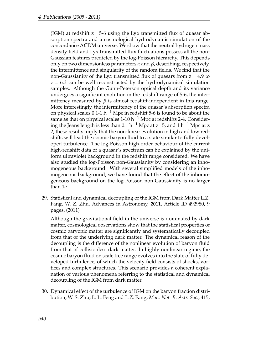(IGM) at redshift z 5-6 using the Ly*α* transmitted flux of quasar absorption spectra and a cosmological hydrodynamic simulation of the concordance ΛCDM universe. We show that the neutral hydrogen mass density field and Ly*α* transmitted flux fluctuations possess all the non-Gaussian features predicted by the log-Poisson hierarchy. This depends only on two dimensionless parameters *α* and *β*, describing, respectively, the intermittence and singularity of the random fields. We find that the non-Gaussianity of the Ly*α* transmitted flux of quasars from z = 4.9 to  $z = 6.3$  can be well reconstructed by the hydrodynamical simulation samples. Although the Gunn-Peterson optical depth and its variance undergoes a significant evolution in the redshift range of 5-6, the intermittency measured by  $\beta$  is almost redshift-independent in this range. More interestingly, the intermittency of the quasar's absorption spectra on physical scales 0.1-1 h<sup>-1</sup> Mpc in redshift 5-6 is found to be about the same as that on physical scales 1-10 h<sup>-1</sup> Mpc at redshifts 2-4. Considering the Jeans length is less than 0.1 h<sup>-1</sup> Mpc at z 5, and 1 h<sup>-1</sup> Mpc at z 2, these results imply that the non-linear evolution in high and low redshifts will lead the cosmic baryon fluid to a state similar to fully developed turbulence. The log-Poisson high-order behaviour of the current high-redshift data of a quasar's spectrum can be explained by the uniform ultraviolet background in the redshift range considered. We have also studied the log-Poisson non-Gaussianity by considering an inhomogeneous background. With several simplified models of the inhomogeneous background, we have found that the effect of the inhomogeneous background on the log-Poisson non-Gaussianity is no larger than 1*σ*.

29. Statistical and dynamical decoupling of the IGM from Dark Matter L.Z. Fang, W. Z. Zhu, Advances in Astronomy, **2011**, Article ID 492980, 9 pages, (2011)

Although the gravitational field in the universe is dominated by dark matter, cosmological observations show that the statistical properties of cosmic baryonic matter are significantly and systematically decoupled from that of the underlying dark matter. The dynamical reason of the decoupling is the difference of the nonlinear evolution of baryon fluid from that of collisionless dark matter. In highly nonlinear regime, the cosmic baryon fluid on scale free range evolves into the state of fully developed turbulence, of which the velocity field consists of shocks, vortices and complex structures. This scenario provides a coherent explanation of various phenomena referring to the statistical and dynamical decoupling of the IGM from dark matter.

30. Dynamical effect of the turbulence of IGM on the baryon fraction distribution, W. S. Zhu, L. L. Feng and L.Z. Fang, *Mon. Not. R. Astr. Soc.*, 415,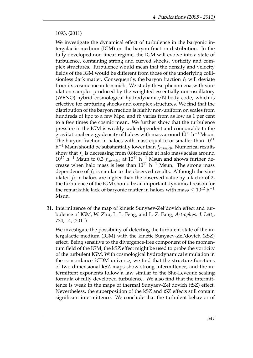#### 1093, (2011)

We investigate the dynamical effect of turbulence in the baryonic intergalactic medium (IGM) on the baryon fraction distribution. In the fully developed non-linear regime, the IGM will evolve into a state of turbulence, containing strong and curved shocks, vorticity and complex structures. Turbulence would mean that the density and velocity fields of the IGM would be different from those of the underlying collisionless dark matter. Consequently, the baryon fraction  $f<sub>b</sub>$  will deviate from its cosmic mean fcosmicb. We study these phenomena with simulation samples produced by the weighted essentially non-oscillatory (WENO) hybrid cosmological hydrodynamic/N-body code, which is effective for capturing shocks and complex structures. We find that the distribution of the baryon fraction is highly non-uniform on scales from hundreds of kpc to a few Mpc, and fb varies from as low as 1 per cent to a few times the cosmic mean. We further show that the turbulence pressure in the IGM is weakly scale-dependent and comparable to the gravitational energy density of haloes with mass around  $10^{11}$  h $^{-1}$  Msun. The baryon fraction in haloes with mass equal to or smaller than  $10^{11}$ h <sup>−</sup><sup>1</sup> Msun should be substantially lower than *fcosmicb*. Numerical results show that  $f_b$  is decreasing from 0.8fcosmicb at halo mass scales around  $10^{12}$  h<sup>-1</sup> Msun to 0.3  $f_{cosmicb}$  at  $10^{11}$  h<sup>-1</sup> Msun and shows further decrease when halo mass is less than  $10^{11}$  h<sup>-1</sup> Msun. The strong mass dependence of  $f_b$  is similar to the observed results. Although the simulated *f<sup>b</sup>* in haloes are higher than the observed value by a factor of 2, the turbulence of the IGM should be an important dynamical reason for the remarkable lack of baryonic matter in haloes with mass  $\leq 10^{12}$  h<sup>-1</sup> Msun.

31. Intermittence of the map of kinetic Sunyaev-Zel'dovich effect and turbulence of IGM, W. Zhu, L. L. Feng, and L. Z. Fang, *Astrophys. J. Lett,*, 734, 14, (2011)

We investigate the possibility of detecting the turbulent state of the intergalactic medium (IGM) with the kinetic Sunyaev-Zel'dovich (kSZ) effect. Being sensitive to the divergence-free component of the momentum field of the IGM, the kSZ effect might be used to probe the vorticity of the turbulent IGM. With cosmological hydrodynamical simulation in the concordance ?CDM universe, we find that the structure functions of two-dimensional kSZ maps show strong intermittence, and the intermittent exponents follow a law similar to the She-Leveque scaling formula of fully developed turbulence. We also find that the intermittence is weak in the maps of thermal Sunyaev-Zel'dovich (tSZ) effect. Nevertheless, the superposition of the kSZ and tSZ effects still contain significant intermittence. We conclude that the turbulent behavior of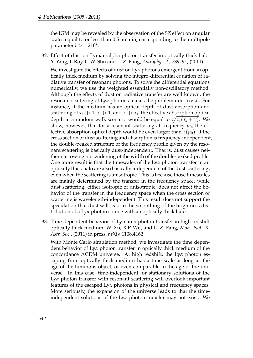the IGM may be revealed by the observation of the SZ effect on angular scales equal to or less than 0.5 arcmin, corresponding to the multipole parameter *l* >= 210<sup>4</sup> .

32. Effect of dust on Lyman-alpha photon transfer in optically thick halo. Y. Yang, I, Roy, C-W. Shu and L. Z. Fang, *Astrophys. J.*, 739, 91, (2011)

We investigate the effects of dust on Ly*α* photons emergent from an optically thick medium by solving the integro-differential equation of radiative transfer of resonant photons. To solve the differential equations numerically, we use the weighted essentially non-oscillatory method. Although the effects of dust on radiative transfer are well known, the resonant scattering of Ly*α* photons makes the problem non-trivial. For instance, if the medium has an optical depth of dust absorption and scattering of  $\tau_a \gg 1$ ,  $\tau \gg 1$ , and  $\tau \gg \tau_a$ , the effective absorption optical depth in a random walk scenario would be equal to  $\sqrt{\tau_a(\tau_a + \tau)}$ . We show, however, that for a resonant scattering at frequency  $\mu_0$ , the effective absorption optical depth would be even larger than  $\tau(\mu_0)$ . If the cross section of dust scattering and absorption is frequency-independent, the double-peaked structure of the frequency profile given by the resonant scattering is basically dust-independent. That is, dust causes neither narrowing nor widening of the width of the double-peaked profile. One more result is that the timescales of the Ly*α* photon transfer in an optically thick halo are also basically independent of the dust scattering, even when the scattering is anisotropic. This is because those timescales are mainly determined by the transfer in the frequency space, while dust scattering, either isotropic or anisotropic, does not affect the behavior of the transfer in the frequency space when the cross section of scattering is wavelength-independent. This result does not support the speculation that dust will lead to the smoothing of the brightness distribution of a Ly*α* photon source with an optically thick halo.

33. Time-dependent behavior of Lyman *α* photon transfer in high redshift optically thick medium, W. Xu, X.P. Wu, and L. Z. Fang, *Mon. Not. R. Astr. Soc.*, (2011) in press, arXiv:1108.4162

With Monte Carlo simulation method, we investigate the time dependent behavior of Ly*α* photon transfer in optically thick medium of the concordance ΛCDM universe. At high redshift, the Ly*α* photon escaping from optically thick medium has a time scale as long as the age of the luminous object, or even comparable to the age of the universe. In this case, time-independent, or stationary solutions of the Ly*α* photon transfer with resonant scattering will overlook important features of the escaped Ly*α* photons in physical and frequency spaces. More seriously, the expansion of the universe leads to that the timeindependent solutions of the Ly*α* photon transfer may not exist. We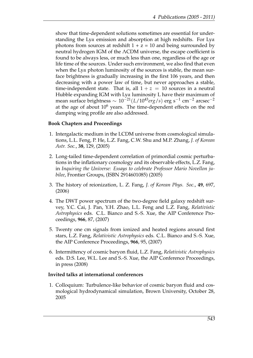show that time-dependent solutions sometimes are essential for understanding the Ly*α* emission and absorption at high redshifts. For Ly*α* photons from sources at redshift  $1 + z = 10$  and being surrounded by neutral hydrogen IGM of the ΛCDM universe, the escape coefficient is found to be always less, or much less than one, regardless of the age or life time of the sources. Under such environment, we also find that even when the Ly*α* photon luminosity of the sources is stable, the mean surface brightness is gradually increasing in the first 106 years, and then decreasing with a power law of time, but never approaches a stable, time-independent state. That is, all  $1 + z = 10$  sources in a neutral Hubble expanding IGM with Ly*α* luminosity L have their maximum of mean surface brightness ∼ 10−21(*L*/1043*erg*/*s*) erg s−<sup>1</sup> cm−<sup>2</sup> arcsec−<sup>2</sup> at the age of about  $10^6$  years. The time-dependent effects on the red damping wing profile are also addressed.

#### **Book Chapters and Proceedings**

- 1. Intergalactic medium in the LCDM universe from cosmological simulations, L.L. Feng, P. He, L.Z. Fang, C.W. Shu and M.P. Zhang, *J. of Korean Astr. Soc.*, **38**, 129, (2005)
- 2. Long-tailed time-dependent correlation of primordial cosmic perturbations in the inflationary cosmology and its observable effects, L.Z. Fang, in *Inquiring the Universe: Essays to celebrate Professor Mario Novellon jubilee*, Frontier Groups, (ISBN 2914601085) (2005)
- 3. The history of reionization, L. Z. Fang, *J. of Korean Phys. Soc.*, **49**, 697, (2006)
- 4. The DWT power spectrum of the two-degree field galaxy redshift survey, Y.C. Cai, J. Pan, Y.H. Zhao, L.L. Feng and L.Z. Fang, *Relativistic Astrophysics* eds. C.L. Bianco and S.-S. Xue, the AIP Conference Proceedings, **966**, 87, (2007)
- 5. Twenty one cm signals from ionized and heated regions around first stars, L.Z. Fang, *Relativistic Astrophysics* eds. C.L. Bianco and S.-S. Xue, the AIP Conference Proceedings, **966**, 95, (2007)
- 6. Intermittency of cosmic baryon fluid, L.Z. Fang, *Relativistic Astrophysics* eds. D.S. Lee, W.L. Lee and S.-S. Xue, the AIP Conference Proceedings, in press (2008)

#### **Invited talks at international conferences**

1. Colloquium: Turbulence-like behavior of cosmic baryon fluid and cosmological hydrodynamical simulation, Brown University, October 28, 2005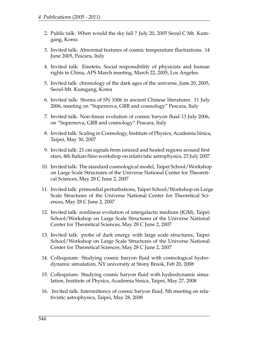- 2. Public talk: When would the sky fall ? July 20, 2005 Seoul C Mt. Kumgang, Korea
- 3. Invited talk: Abnormal features of cosmic temperature fluctuations. 14 June 2005, Pescara, Italy
- 4. Invited talk: Einstein, Social responsibility of physicists and human rights in China, APS March meeting, March 22, 2005, Los Angeles.
- 5. Invited talk: chronology of the dark ages of the universe, June 20, 2005, Seoul-Mt. Kumgang, Korea
- 6. Invited talk: Stories of SN 1006 in ancient Chinese literatures. 11 July 2006, meeting on "Supernova, GRB and cosmology" Pescara, Italy
- 7. Invited talk: Non-linear evolution of cosmic baryon fluid 13 July 2006, on "Supernova, GRB and cosmology" Pescara, Italy
- 8. Invited talk: Scaling in Cosmology, Institute of Physics, Academia Sinica, Taipei, May 30, 2007
- 9. Invited talk: 21 cm signals from ionized and heated regions around first stars, 4th Italian-Sino workshop on relativistic astrophysics, 23 July 2007
- 10. Invited talk: The standard cosmological model, Taipei School/Workshop on Large Scale Structures of the Universe National Center for Theoretical Sciences, May 28 C June 2, 2007
- 11. Invited talk: primordial perturbations, Taipei School/Workshop on Large Scale Structures of the Universe National Center for Theoretical Sciences, May 28 C June 2, 2007
- 12. Invited talk: nonlinear evolution of intergalactic medium (IGM), Taipei School/Workshop on Large Scale Structures of the Universe National Center for Theoretical Sciences, May 28 C June 2, 2007
- 13. Invited talk: probe of dark energy with large scale structures, Taipei School/Workshop on Large Scale Structures of the Universe National Center for Theoretical Sciences, May 28 C June 2, 2007
- 14. Colloquium: Studying cosmic baryon fluid with cosmological hydrodynamic simulation, NY university at Stony Brook, Feb 20, 2008
- 15. Colloquium: Studying cosmic baryon fluid with hydrodynamic simulation, Institute of Physics, Academia Sinica, Taipei, May 27, 2008
- 16. Invited talk: Intermittency of cosmic baryon fluid, 5th meeting on relativistic astrophysics, Taipei, May 28, 2008